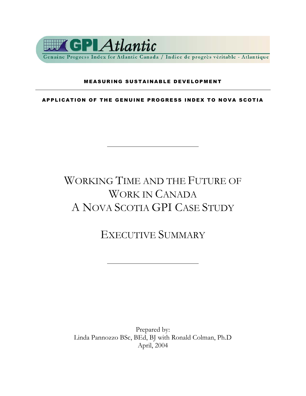

#### MEASURING SUSTAINABLE DEVELOPMENT

APPLICATION OF THE GENUINE PROGRESS INDEX TO NOVA SCOTIA

# WORKING TIME AND THE FUTURE OF WORK IN CANADA A NOVA SCOTIA GPI CASE STUDY

EXECUTIVE SUMMARY

Prepared by: Linda Pannozzo BSc, BEd, BJ with Ronald Colman, Ph.D April, 2004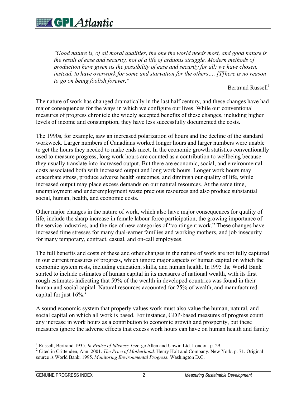*"Good nature is, of all moral qualities, the one the world needs most, and good nature is the result of ease and security, not of a life of arduous struggle. Modern methods of production have given us the possibility of ease and security for all; we have chosen, instead, to have overwork for some and starvation for the others…. [T]here is no reason to go on being foolish forever."*

 $-$  Bertrand Russell<sup>1</sup>

The nature of work has changed dramatically in the last half century, and these changes have had major consequences for the ways in which we configure our lives. While our conventional measures of progress chronicle the widely accepted benefits of these changes, including higher levels of income and consumption, they have less successfully documented the costs.

The 1990s, for example, saw an increased polarization of hours and the decline of the standard workweek. Larger numbers of Canadians worked longer hours and larger numbers were unable to get the hours they needed to make ends meet. In the economic growth statistics conventionally used to measure progress, long work hours are counted as a contribution to wellbeing because they usually translate into increased output. But there are economic, social, and environmental costs associated both with increased output and long work hours. Longer work hours may exacerbate stress, produce adverse health outcomes, and diminish our quality of life, while increased output may place excess demands on our natural resources. At the same time, unemployment and underemployment waste precious resources and also produce substantial social, human, health, and economic costs.

Other major changes in the nature of work, which also have major consequences for quality of life, include the sharp increase in female labour force participation, the growing importance of the service industries, and the rise of new categories of "contingent work." These changes have increased time stresses for many dual-earner families and working mothers, and job insecurity for many temporary, contract, casual, and on-call employees.

The full benefits and costs of these and other changes in the nature of work are not fully captured in our current measures of progress, which ignore major aspects of human capital on which the economic system rests, including education, skills, and human health. In l995 the World Bank started to include estimates of human capital in its measures of national wealth, with its first rough estimates indicating that 59% of the wealth in developed countries was found in their human and social capital. Natural resources accounted for 25% of wealth, and manufactured capital for just  $16\%$ <sup>2</sup>

A sound economic system that properly values work must also value the human, natural, and social capital on which all work is based. For instance, GDP-based measures of progress count any increase in work hours as a contribution to economic growth and prosperity, but these measures ignore the adverse effects that excess work hours can have on human health and family

 $\overline{a}$ <sup>1</sup> Russell, Bertrand. 1935. *In Praise of Idleness*. George Allen and Unwin Ltd. London. p. 29.<br><sup>2</sup> Cited in Crittondon. Ann. 2001. *The Price of Metharhood*, Hanry Holt and Company. Now

<sup>&</sup>lt;sup>2</sup> Cited in Crittenden, Ann. 2001. *The Price of Motherhood*. Henry Holt and Company. New York. p. 71. Original source is World Bank. 1995. *Monitoring Environmental Progress.* Washington D.C.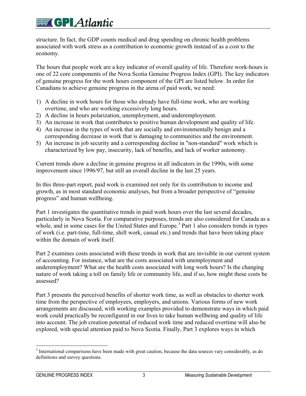structure. In fact, the GDP counts medical and drug spending on chronic health problems associated with work stress as a contribution to economic growth instead of as a cost to the economy.

The hours that people work are a key indicator of overall quality of life. Therefore work-hours is one of 22 core components of the Nova Scotia Genuine Progress Index (GPI). The key indicators of genuine progress for the work hours component of the GPI are listed below. In order for Canadians to achieve genuine progress in the arena of paid work, we need:

- 1) A decline in work hours for those who already have full-time work, who are working overtime, and who are working excessively long hours.
- 2) A decline in hours polarization, unemployment, and underemployment.
- 3) An increase in work that contributes to positive human development and quality of life.
- 4) An increase in the types of work that are socially and environmentally benign and a corresponding decrease in work that is damaging to communities and the environment.
- 5) An increase in job security and a corresponding decline in "non-standard" work which is characterized by low pay, insecurity, lack of benefits, and lack of worker autonomy.

Current trends show a decline in genuine progress in all indicators in the 1990s, with some improvement since 1996/97, but still an overall decline in the last 25 years.

In this three-part report, paid work is examined not only for its contribution to income and growth, as in most standard economic analyses, but from a broader perspective of "genuine progress" and human wellbeing.

Part 1 investigates the quantitative trends in paid work hours over the last several decades, particularly in Nova Scotia. For comparative purposes, trends are also considered for Canada as a whole, and in some cases for the United States and Europe.<sup>3</sup> Part 1 also considers trends in types of work (i.e. part-time, full-time, shift work, casual etc.) and trends that have been taking place within the domain of work itself.

Part 2 examines costs associated with these trends in work that are invisible in our current system of accounting. For instance, what are the costs associated with unemployment and underemployment? What are the health costs associated with long work hours? Is the changing nature of work taking a toll on family life or community life, and if so, how might these costs be assessed?

Part 3 presents the perceived benefits of shorter work time, as well as obstacles to shorter work time from the perspective of employees, employers, and unions. Various forms of new work arrangements are discussed, with working examples provided to demonstrate ways in which paid work could practically be reconfigured in our lives to take human wellbeing and quality of life into account. The job creation potential of reduced work time and reduced overtime will also be explored, with special attention paid to Nova Scotia. Finally, Part 3 explores ways in which

 $\overline{a}$  $3$  International comparisons have been made with great caution, because the data sources vary considerably, as do definitions and survey questions.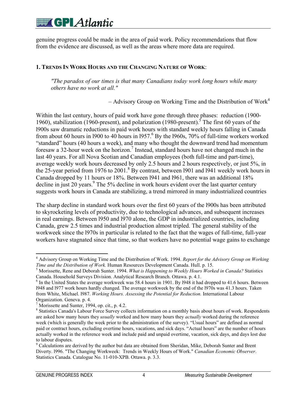genuine progress could be made in the area of paid work. Policy recommendations that flow from the evidence are discussed, as well as the areas where more data are required.

### **1. TRENDS IN WORK HOURS AND THE CHANGING NATURE OF WORK**:

*"The paradox of our times is that many Canadians today work long hours while many others have no work at all."*

– Advisory Group on Working Time and the Distribution of Work<sup>4</sup>

Within the last century, hours of paid work have gone through three phases: reduction (1900- 1960), stabilization (1960-present), and polarization (1980-present).<sup>5</sup> The first 60 years of the l900s saw dramatic reductions in paid work hours with standard weekly hours falling in Canada from about 60 hours in 1900 to 40 hours in 1957.<sup>6</sup> By the 1960s, 70% of full-time workers worked "standard" hours (40 hours a week), and many who thought the downward trend had momentum foresaw a 32-hour week on the horizon.<sup>7</sup> Instead, standard hours have not changed much in the last 40 years. For all Nova Scotian and Canadian employees (both full-time and part-time), average weekly work hours decreased by only 2.5 hours and 2 hours respectively, or just 5%, in the 25-year period from 1976 to 2001.<sup>8</sup> By contrast, between 1901 and 1941 weekly work hours in Canada dropped by 11 hours or 18%. Between l941 and l961, there was an additional 18% decline in just 20 years.<sup>9</sup> The 5% decline in work hours evident over the last quarter century suggests work hours in Canada are stabilizing, a trend mirrored in many industrialized countries

The sharp decline in standard work hours over the first 60 years of the l900s has been attributed to skyrocketing levels of productivity, due to technological advances, and subsequent increases in real earnings. Between l950 and l970 alone, the GDP in industrialized countries, including Canada, grew 2.5 times and industrial production almost tripled. The general stability of the workweek since the l970s in particular is related to the fact that the wages of full-time, full-year workers have stagnated since that time, so that workers have no potential wage gains to exchange

 $\overline{a}$ 4 Advisory Group on Working Time and the Distribution of Work. 1994. *Report for the Advisory Group on Working Time and the Distribution of Work.* Human Resources Development Canada. Hull. p. 15.

Morissette, Rene and Deborah Sunter. 1994. *What is Happening to Weekly Hours Worked in Canada?* Statistics Canada. Household Surveys Division. Analytical Research Branch. Ottawa. p. 4.1.

 $6$  In the United States the average workweek was 58.4 hours in 1901. By 1948 it had dropped to 41.6 hours. Between l948 and l977 work hours hardly changed. The average workweek by the end of the l970s was 41.3 hours. Taken from White, Michael. l987. *Working Hours. Assessing the Potential for Reduction.* International Labour Organization. Geneva. p. 4.

<sup>7</sup> Morissette and Sunter, 1994, op. cit., p. 4.2.

<sup>&</sup>lt;sup>8</sup> Statistics Canada's Labour Force Survey collects information on a monthly basis about hours of work. Respondents are asked how many hours they *usually* worked and how many hours they *actually* worked during the reference week (which is generally the week prior to the administration of the survey). "Usual hours" are defined as normal paid or contract hours, excluding overtime hours, vacations, and sick days. "Actual hours" are the number of hours actually worked in the reference week and include paid and unpaid overtime, vacation, sick days, and days lost due to labour disputes.

<sup>&</sup>lt;sup>9</sup> Calculations are derived by the author but data are obtained from Sheridan, Mike, Deborah Sunter and Brent Diverty. l996. "The Changing Workweek: Trends in Weekly Hours of Work." *Canadian Economic Observer*. Statistics Canada. Catalogue No. 11-010-XPB. Ottawa. p. 3.3.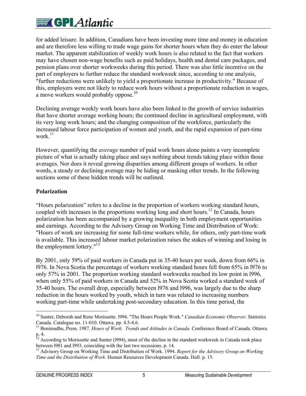for added leisure. In addition, Canadians have been investing more time and money in education and are therefore less willing to trade wage gains for shorter hours when they do enter the labour market. The apparent stabilization of weekly work hours is also related to the fact that workers may have chosen non-wage benefits such as paid holidays, health and dental care packages, and pension plans over shorter workweeks during this period. There was also little incentive on the part of employers to further reduce the standard workweek since, according to one analysis, "further reductions were unlikely to yield a proportionate increase in productivity." Because of this, employers were not likely to reduce work hours without a proportionate reduction in wages, a move workers would probably oppose.<sup>10</sup>

Declining average weekly work hours have also been linked to the growth of service industries that have shorter average working hours; the continued decline in agricultural employment, with its very long work hours; and the changing composition of the workforce, particularly the increased labour force participation of women and youth, and the rapid expansion of part-time work $11$ 

However, quantifying the *average* number of paid work hours alone paints a very incomplete picture of what is actually taking place and says nothing about trends taking place within those averages. Nor does it reveal growing disparities among different groups of workers. In other words, a steady or declining average may be hiding or masking other trends. In the following sections some of these hidden trends will be outlined.

#### **Polarization**

 $\overline{a}$ 

"Hours polarization" refers to a decline in the proportion of workers working standard hours, coupled with increases in the proportions working long and short hours.<sup>12</sup> In Canada, hours polarization has been accompanied by a growing inequality in both employment opportunities and earnings. According to the Advisory Group on Working Time and Distribution of Work: "Hours of work are increasing for some full-time workers while, for others, only part-time work is available. This increased labour market polarization raises the stakes of winning and losing in the employment lottery."<sup>13</sup>

By 2001, only 59% of paid workers in Canada put in 35-40 hours per week, down from 66% in l976. In Nova Scotia the percentage of workers working standard hours fell from 65% in l976 to only 57% in 2001. The proportion working standard workweeks reached its low point in l996, when only 55% of paid workers in Canada and 52% in Nova Scotia worked a standard week of 35-40 hours. The overall drop, especially between l976 and l996, was largely due to the sharp reduction in the hours worked by youth, which in turn was related to increasing numbers working part-time while undertaking post-secondary education. In this time period, the

<sup>10</sup> Sunter, Deborah and Rene Morissette. l994. "The Hours People Work." *Canadian Economic Observer*. Statistics Canada. Catalogue no. 11-010. Ottawa. pp. 4.5-4.6.

<sup>&</sup>lt;sup>11</sup> Benimadhu, Prem. 1987. *Hours of Work: Trends and Attitudes in Canada*. Conference Board of Canada. Ottawa. p. 4.

 $12$  According to Morissette and Sunter (1994), most of the decline in the standard workweek in Canada took place between l981 and l993, coinciding with the last two recessions. p. 14.

<sup>13</sup> Advisory Group on Working Time and Distribution of Work. 1994. *Report for the Advisory Group on Working Time and the Distribution of Work.* Human Resources Development Canada. Hull. p. 15.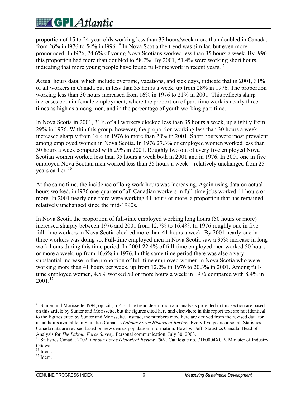proportion of 15 to 24-year-olds working less than 35 hours/week more than doubled in Canada, from 26% in 1976 to  $54\%$  in 1996.<sup>14</sup> In Nova Scotia the trend was similar, but even more pronounced. In l976, 24.6% of young Nova Scotians worked less than 35 hours a week. By l996 this proportion had more than doubled to 58.7%. By 2001, 51.4% were working short hours, indicating that more young people have found full-time work in recent years.<sup>15</sup>

Actual hours data, which include overtime, vacations, and sick days, indicate that in 2001, 31% of all workers in Canada put in less than 35 hours a week, up from 28% in 1976. The proportion working less than 30 hours increased from 16% in 1976 to 21% in 2001. This reflects sharp increases both in female employment, where the proportion of part-time work is nearly three times as high as among men, and in the percentage of youth working part-time.

In Nova Scotia in 2001, 31% of all workers clocked less than 35 hours a week, up slightly from 29% in 1976. Within this group, however, the proportion working less than 30 hours a week increased sharply from 16% in 1976 to more than 20% in 2001. Short hours were most prevalent among employed women in Nova Scotia. In 1976 27.3% of employed women worked less than 30 hours a week compared with 29% in 2001. Roughly two out of every five employed Nova Scotian women worked less than 35 hours a week both in 2001 and in 1976. In 2001 one in five employed Nova Scotian men worked less than 35 hours a week – relatively unchanged from 25 years earlier. 16

At the same time, the incidence of long work hours was increasing. Again using data on actual hours worked, in l976 one-quarter of all Canadian workers in full-time jobs worked 41 hours or more. In 2001 nearly one-third were working 41 hours or more, a proportion that has remained relatively unchanged since the mid-1990s.

In Nova Scotia the proportion of full-time employed working long hours (50 hours or more) increased sharply between 1976 and 2001 from 12.7% to 16.4%. In 1976 roughly one in five full-time workers in Nova Scotia clocked more than 41 hours a week. By 2001 nearly one in three workers was doing so. Full-time employed men in Nova Scotia saw a 35% increase in long work hours during this time period. In 2001 22.4% of full-time employed men worked 50 hours or more a week, up from 16.6% in 1976.In this same time period there was also a very substantial increase in the proportion of full-time employed women in Nova Scotia who were working more than 41 hours per week, up from 12.2% in 1976 to 20.3% in 2001. Among fulltime employed women, 4.5% worked 50 or more hours a week in 1976 compared with 8.4% in 2001.<sup>17</sup>

 $\overline{a}$ <sup>14</sup> Sunter and Morissette, 1994, op. cit., p. 4.3. The trend description and analysis provided in this section are based on this article by Sunter and Morissette, but the figures cited here and elsewhere in this report text are not identical to the figures cited by Sunter and Morissette. Instead, the numbers cited here are derived from the revised data for usual hours available in Statistics Canada's *Labour Force Historical Review*. Every five years or so, all Statistics Canada data are revised based on new census population information. Bowlby, Jeff. Statistics Canada. Head of

Analysis for *The Labour Force Survey*. Personal communication. July 30, 2003.<br><sup>15</sup> Statistics Canada. 2002. *Labour Force Historical Review 2001*. Catalogue no. 71F0004XCB. Minister of Industry. Ottawa.

 $16$  Idem.

 $17$  Idem.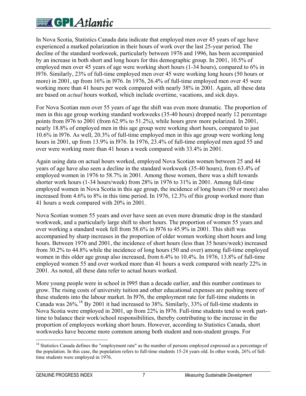# **EV GP Atlantic**

In Nova Scotia, Statistics Canada data indicate that employed men over 45 years of age have experienced a marked polarization in their hours of work over the last 25-year period. The decline of the standard workweek, particularly between 1976 and 1996, has been accompanied by an increase in both short and long hours for this demographic group. In 2001, 10.5% of employed men over 45 years of age were working short hours (1-34 hours), compared to 6% in l976. Similarly, 23% of full-time employed men over 45 were working long hours (50 hours or more) in 2001, up from 16% in l976. In 1976, 26.4% of full-time employed men over 45 were working more than 41 hours per week compared with nearly 38% in 2001. Again, all these data are based on *actual* hours worked, which include overtime, vacations, and sick days.

For Nova Scotian men over 55 years of age the shift was even more dramatic. The proportion of men in this age group working standard workweeks (35-40 hours) dropped nearly 12 percentage points from l976 to 2001 (from 62.9% to 51.2%), while hours grew more polarized. In 2001, nearly 18.8% of employed men in this age group were working short hours, compared to just 10.6% in l976. As well, 20.3% of full-time employed men in this age group were working long hours in 2001, up from 13.9% in l976. In 1976, 23.4% of full-time employed men aged 55 and over were working more than 41 hours a week compared with 33.4% in 2001.

Again using data on actual hours worked, employed Nova Scotian women between 25 and 44 years of age have also seen a decline in the standard workweek (35-40 hours), from 63.4% of employed women in 1976 to 58.7% in 2001. Among these women, there was a shift towards shorter work hours (1-34 hours/week) from 28% in 1976 to 31% in 2001. Among full-time employed women in Nova Scotia in this age group, the incidence of long hours (50 or more) also increased from 4.6% to 8% in this time period. In 1976, 12.3% of this group worked more than 41 hours a week compared with 20% in 2001.

Nova Scotian women 55 years and over have seen an even more dramatic drop in the standard workweek, and a particularly large shift to short hours. The proportion of women 55 years and over working a standard week fell from 58.6% in l976 to 45.9% in 2001. This shift was accompanied by sharp increases in the proportion of older women working short hours and long hours. Between 1976 and 2001, the incidence of short hours (less than 35 hours/week) increased from 30.2% to 44.8% while the incidence of long hours (50 and over) among full-time employed women in this older age group also increased, from 6.4% to 10.4%. In 1976, 13.8% of full-time employed women 55 and over worked more than 41 hours a week compared with nearly 22% in 2001. As noted, all these data refer to actual hours worked.

More young people were in school in l995 than a decade earlier, and this number continues to grow. The rising costs of university tuition and other educational expenses are pushing more of these students into the labour market. In l976, the employment rate for full-time students in Canada was  $26\%$ .<sup>18</sup> By 2001 it had increased to 38%. Similarly, 33% of full-time students in Nova Scotia were employed in 2001, up from 22% in l976. Full-time students tend to work parttime to balance their work/school responsibilities, thereby contributing to the increase in the proportion of employees working short hours. However, according to Statistics Canada, short workweeks have become more common among both student and non-student groups. For

 $\overline{a}$ <sup>18</sup> Statistics Canada defines the "employment rate" as the number of persons employed expressed as a percentage of the population. In this case, the population refers to full-time students 15-24 years old. In other words, 26% of fulltime students were employed in 1976.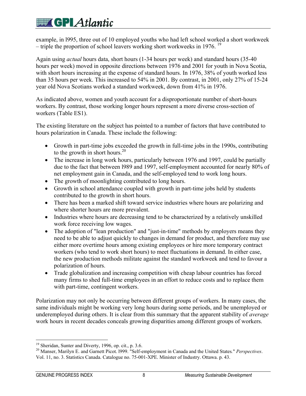example, in l995, three out of 10 employed youths who had left school worked a short workweek – triple the proportion of school leavers working short workweeks in 1976. <sup>19</sup>

Again using *actual* hours data, short hours (1-34 hours per week) and standard hours (35-40 hours per week) moved in opposite directions between 1976 and 2001 for youth in Nova Scotia, with short hours increasing at the expense of standard hours. In 1976, 38% of youth worked less than 35 hours per week. This increased to 54% in 2001. By contrast, in 2001, only 27% of 15-24 year old Nova Scotians worked a standard workweek, down from 41% in 1976.

As indicated above, women and youth account for a disproportionate number of short-hours workers. By contrast, those working longer hours represent a more diverse cross-section of workers (Table ES1).

The existing literature on the subject has pointed to a number of factors that have contributed to hours polarization in Canada. These include the following:

- Growth in part-time jobs exceeded the growth in full-time jobs in the 1990s, contributing to the growth in short hours. $^{20}$
- The increase in long work hours, particularly between 1976 and 1997, could be partially due to the fact that between l989 and 1997, self-employment accounted for nearly 80% of net employment gain in Canada, and the self-employed tend to work long hours.
- The growth of moonlighting contributed to long hours.
- Growth in school attendance coupled with growth in part-time jobs held by students contributed to the growth in short hours.
- There has been a marked shift toward service industries where hours are polarizing and where shorter hours are more prevalent.
- Industries where hours are decreasing tend to be characterized by a relatively unskilled work force receiving low wages.
- The adoption of "lean production" and "just-in-time" methods by employers means they need to be able to adjust quickly to changes in demand for product, and therefore may use either more overtime hours among existing employees or hire more temporary contract workers (who tend to work short hours) to meet fluctuations in demand. In either case, the new production methods militate against the standard workweek and tend to favour a polarization of hours.
- Trade globalization and increasing competition with cheap labour countries has forced many firms to shed full-time employees in an effort to reduce costs and to replace them with part-time, contingent workers.

Polarization may not only be occurring between different groups of workers. In many cases, the same individuals might be working very long hours during some periods, and be unemployed or underemployed during others. It is clear from this summary that the apparent stability of *average* work hours in recent decades conceals growing disparities among different groups of workers.

 $19$  Sheridan, Sunter and Diverty, 1996, op. cit., p. 3.6.

<sup>20</sup> Manser, Marilyn E. and Garnett Picot. l999. "Self-employment in Canada and the United States*.*" *Perspectives*. Vol. 11, no. 3. Statistics Canada. Catalogue no. 75-001-XPE. Minister of Industry. Ottawa. p. 43.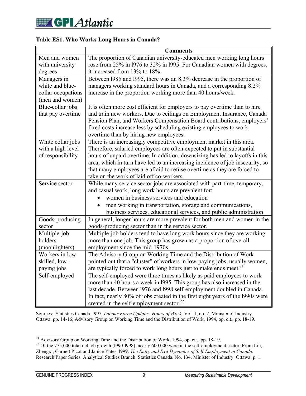| <b>Table ES1. Who Works Long Hours in Canada?</b> |  |  |  |
|---------------------------------------------------|--|--|--|
|                                                   |  |  |  |

|                    | <b>Comments</b>                                                                |  |  |
|--------------------|--------------------------------------------------------------------------------|--|--|
| Men and women      | The proportion of Canadian university-educated men working long hours          |  |  |
| with university    | rose from 25% in 1976 to 32% in 1995. For Canadian women with degrees,         |  |  |
| degrees            | it increased from 13% to 18%.                                                  |  |  |
| Managers in        | Between 1985 and 1995, there was an 8.3% decrease in the proportion of         |  |  |
| white and blue-    | managers working standard hours in Canada, and a corresponding 8.2%            |  |  |
| collar occupations | increase in the proportion working more than 40 hours/week.                    |  |  |
| (men and women)    |                                                                                |  |  |
| Blue-collar jobs   | It is often more cost efficient for employers to pay overtime than to hire     |  |  |
| that pay overtime  | and train new workers. Due to ceilings on Employment Insurance, Canada         |  |  |
|                    | Pension Plan, and Workers Compensation Board contributions, employers'         |  |  |
|                    | fixed costs increase less by scheduling existing employees to work             |  |  |
|                    | overtime than by hiring new employees.                                         |  |  |
| White collar jobs  | There is an increasingly competitive employment market in this area.           |  |  |
| with a high level  | Therefore, salaried employees are often expected to put in substantial         |  |  |
| of responsibility  | hours of unpaid overtime. In addition, downsizing has led to layoffs in this   |  |  |
|                    | area, which in turn have led to an increasing incidence of job insecurity, so  |  |  |
|                    | that many employees are afraid to refuse overtime as they are forced to        |  |  |
|                    | take on the work of laid off co-workers.                                       |  |  |
| Service sector     | While many service sector jobs are associated with part-time, temporary,       |  |  |
|                    | and casual work, long work hours are prevalent for:                            |  |  |
|                    | women in business services and education                                       |  |  |
|                    | men working in transportation, storage and communications,                     |  |  |
|                    | business services, educational services, and public administration             |  |  |
| Goods-producing    | In general, longer hours are more prevalent for both men and women in the      |  |  |
| sector             | goods-producing sector than in the service sector.                             |  |  |
| Multiple-job       | Multiple-job holders tend to have long work hours since they are working       |  |  |
| holders            | more than one job. This group has grown as a proportion of overall             |  |  |
| (moonlighters)     | employment since the mid-1970s.                                                |  |  |
| Workers in low-    | The Advisory Group on Working Time and the Distribution of Work                |  |  |
| skilled, low-      | pointed out that a "cluster" of workers in low-paying jobs, usually women,     |  |  |
| paying jobs        | are typically forced to work long hours just to make ends meet. <sup>21</sup>  |  |  |
| Self-employed      | The self-employed were three times as likely as paid employees to work         |  |  |
|                    | more than 40 hours a week in 1995. This group has also increased in the        |  |  |
|                    | last decade. Between 1976 and 1998 self-employment doubled in Canada.          |  |  |
|                    | In fact, nearly 80% of jobs created in the first eight years of the 1990s were |  |  |
|                    | created in the self-employment sector. $^{22}$                                 |  |  |

Sources: Statistics Canada. l997. *Labour Force Update: Hours of Work*. Vol. 1, no. 2. Minister of Industry. Ottawa. pp. 14-16; Advisory Group on Working Time and the Distribution of Work, 1994, op. cit., pp. 18-19.

 $\overline{a}$ <sup>21</sup> Advisory Group on Working Time and the Distribution of Work, 1994, op. cit., pp. 18-19.

 $^{22}$  Of the 775,000 total net job growth (1990-1998), nearly 600,000 were in the self-employment sector. From Lin, Zhengxi, Garnett Picot and Janice Yates. l999. *The Entry and Exit Dynamics of Self-Employment in Canada.* Research Paper Series. Analytical Studies Branch. Statistics Canada. No. 134. Minister of Industry. Ottawa. p. 1.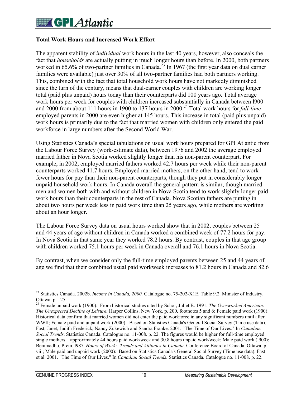### **Total Work Hours and Increased Work Effort**

The apparent stability of *individual* work hours in the last 40 years, however, also conceals the fact that *households* are actually putting in much longer hours than before. In 2000, both partners worked in 65.6% of two-partner families in Canada.<sup>23</sup> In 1967 (the first year data on dual earner families were available) just over 30% of all two-partner families had both partners working. This, combined with the fact that total household work hours have not markedly diminished since the turn of the century, means that dual-earner couples with children are working longer total (paid plus unpaid) hours today than their counterparts did 100 years ago. Total average work hours per week for couples with children increased substantially in Canada between l900 and 2000 from about 111 hours in 1900 to 137 hours in 2000.<sup>24</sup> Total work hours for *full-time* employed parents in 2000 are even higher at 145 hours. This increase in total (paid plus unpaid) work hours is primarily due to the fact that married women with children only entered the paid workforce in large numbers after the Second World War.

Using Statistics Canada's special tabulations on usual work hours prepared for GPI Atlantic from the Labour Force Survey (work-estimate data), between 1976 and 2002 the average employed married father in Nova Scotia worked slightly longer than his non-parent counterpart. For example, in 2002, employed married fathers worked 42.7 hours per week while their non-parent counterparts worked 41.7 hours. Employed married mothers, on the other hand, tend to work fewer hours for pay than their non-parent counterparts, though they put in considerably longer unpaid household work hours. In Canada overall the general pattern is similar, though married men and women both with and without children in Nova Scotia tend to work slightly longer paid work hours than their counterparts in the rest of Canada. Nova Scotian fathers are putting in about two hours per week less in paid work time than 25 years ago, while mothers are working about an hour longer.

The Labour Force Survey data on usual hours worked show that in 2002, couples between 25 and 44 years of age without children in Canada worked a combined week of 77.2 hours for pay. In Nova Scotia in that same year they worked 78.2 hours. By contrast, couples in that age group with children worked 75.1 hours per week in Canada overall and 76.1 hours in Nova Scotia.

By contrast, when we consider only the full-time employed parents between 25 and 44 years of age we find that their combined usual paid workweek increases to 81.2 hours in Canada and 82.6

 $\overline{a}$ 23 Statistics Canada. 2002b. *Income in Canada, 2000.* Catalogue no. 75-202-X1E. Table 9.2. Minister of Industry. Ottawa. p. 125.

<sup>24</sup> Female unpaid work (1900): From historical studies cited by Schor, Juliet B. 1991. *The Overworked American: The Unexpected Decline of Leisure.* Harper Collins. New York. p. 200, footnotes 5 and 6; Female paid work (1900): Historical data confirm that married women did not enter the paid workforce in any significant numbers until after WWII; Female paid and unpaid work (2000): Based on Statistics Canada's General Social Survey (Time use data). Fast, Janet, Judith Frederick, Nancy Zukewich and Sandra Franke. 2001. "The Time of Our Lives." In *Canadian Social Trends*. Statistics Canada. Catalogue no. 11-008. p. 22. The figures would be higher for full-time employed single mothers – approximately 44 hours paid work/week and 30.8 hours unpaid work/week; Male paid work (1900): Benimadhu, Prem. l987. *Hours of Work: Trends and Attitudes in Canada*. Conference Board of Canada. Ottawa. p. viii; Male paid and unpaid work (2000): Based on Statistics Canada's General Social Survey (Time use data). Fast et al. 2001. "The Time of Our Lives." In *Canadian Social Trends.* Statistics Canada. Catalogue no. 11-008. p. 22.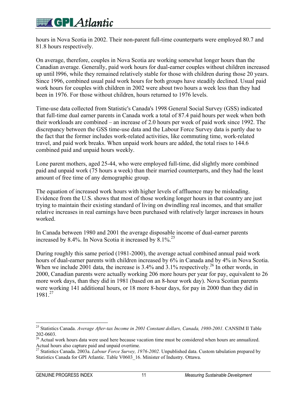hours in Nova Scotia in 2002. Their non-parent full-time counterparts were employed 80.7 and 81.8 hours respectively.

On average, therefore, couples in Nova Scotia are working somewhat longer hours than the Canadian average. Generally, paid work hours for dual-earner couples without children increased up until l996, while they remained relatively stable for those with children during those 20 years. Since 1996, combined usual paid work hours for both groups have steadily declined. Usual paid work hours for couples with children in 2002 were about two hours a week less than they had been in 1976. For those without children, hours returned to 1976 levels.

Time-use data collected from Statistic's Canada's 1998 General Social Survey (GSS) indicated that full-time dual earner parents in Canada work a total of 87.4 paid hours per week when both their workloads are combined – an increase of 2.0 hours per week of paid work since 1992. The discrepancy between the GSS time-use data and the Labour Force Survey data is partly due to the fact that the former includes work-related activities, like commuting time, work-related travel, and paid work breaks. When unpaid work hours are added, the total rises to 144.6 combined paid and unpaid hours weekly.

Lone parent mothers, aged 25-44, who were employed full-time, did slightly more combined paid and unpaid work (75 hours a week) than their married counterparts, and they had the least amount of free time of any demographic group.

The equation of increased work hours with higher levels of affluence may be misleading. Evidence from the U.S. shows that most of those working longer hours in that country are just trying to maintain their existing standard of living on dwindling real incomes, and that smaller relative increases in real earnings have been purchased with relatively larger increases in hours worked.

In Canada between 1980 and 2001 the average disposable income of dual-earner parents increased by 8.4%. In Nova Scotia it increased by  $8.1\%^{25}$ 

During roughly this same period (1981-2000), the average actual combined annual paid work hours of dual-earner parents with children increased by 6% in Canada and by 4% in Nova Scotia. When we include 2001 data, the increase is 3.4% and  $3.1\%$  respectively.<sup>26</sup> In other words, in 2000, Canadian parents were actually working 206 more hours per year for pay, equivalent to 26 more work days, than they did in 1981 (based on an 8-hour work day). Nova Scotian parents were working 141 additional hours, or 18 more 8-hour days, for pay in 2000 than they did in 1981.27

 $\overline{a}$ <sup>25</sup> Statistics Canada. *Average After-tax Income in 2001 Constant dollars, Canada, 1980-2001*. CANSIM II Table 202-0603.

<sup>&</sup>lt;sup>26</sup> Actual work hours data were used here because vacation time must be considered when hours are annualized. Actual hours also capture paid and unpaid overtime.

<sup>27</sup> Statistics Canada. 2003a. *Labour Force Survey, 1976-2002.* Unpublished data. Custom tabulation prepared by Statistics Canada for GPI Atlantic. Table V0603\_16. Minister of Industry. Ottawa.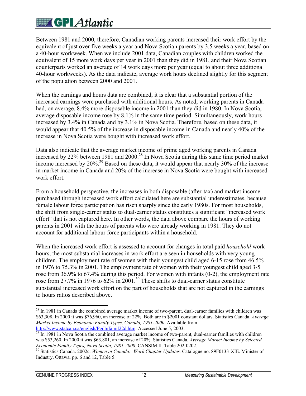Between 1981 and 2000, therefore, Canadian working parents increased their work effort by the equivalent of just over five weeks a year and Nova Scotian parents by 3.5 weeks a year, based on a 40-hour workweek. When we include 2001 data, Canadian couples with children worked the equivalent of 15 more work days per year in 2001 than they did in 1981, and their Nova Scotian counterparts worked an average of 14 work days more per year (equal to about three additional 40-hour workweeks). As the data indicate, average work hours declined slightly for this segment of the population between 2000 and 2001.

When the earnings and hours data are combined, it is clear that a substantial portion of the increased earnings were purchased with additional hours. As noted, working parents in Canada had, on average, 8.4% more disposable income in 2001 than they did in 1980. In Nova Scotia, average disposable income rose by 8.1% in the same time period. Simultaneously, work hours increased by 3.4% in Canada and by 3.1% in Nova Scotia. Therefore, based on these data, it would appear that 40.5% of the increase in disposable income in Canada and nearly 40% of the increase in Nova Scotia were bought with increased work effort.

Data also indicate that the average market income of prime aged working parents in Canada increased by 22% between 1981 and 2000.<sup>28</sup> In Nova Scotia during this same time period market income increased by 20%.29 Based on these data, it would appear that nearly 30% of the increase in market income in Canada and 20% of the increase in Nova Scotia were bought with increased work effort.

From a household perspective, the increases in both disposable (after-tax) and market income purchased through increased work effort calculated here are substantial underestimates, because female labour force participation has risen sharply since the early 1980s. For most households, the shift from single-earner status to dual-earner status constitutes a significant "increased work effort" that is not captured here. In other words, the data above compare the hours of working parents in 2001 with the hours of parents who were already working in 1981. They do not account for additional labour force participants within a household.

When the increased work effort is assessed to account for changes in total paid *household* work hours, the most substantial increases in work effort are seen in households with very young children. The employment rate of women with their youngest child aged 6-15 rose from 46.5% in 1976 to 75.3% in 2001. The employment rate of women with their youngest child aged 3-5 rose from 36.9% to 67.4% during this period. For women with infants (0-2), the employment rate rose from 27.7% in 1976 to  $62\%$  in 2001.<sup>30</sup> These shifts to dual-earner status constitute substantial increased work effort on the part of households that are not captured in the earnings to hours ratios described above.

1

<sup>&</sup>lt;sup>28</sup> In 1981 in Canada the combined average market income of two-parent, dual-earner families with children was \$63,308. In 2000 it was \$76,960, an increase of 22%. Both are in \$2001 constant dollars. Statistics Canada. *Average Market Income by Economic Family Types, Canada, 1981-2000.* Available from http://www.statcan.ca/english/Pgdb/famil22d.htm. Accessed June 5, 2003.

 $\frac{29 \text{ In } 1981 \text{ in } \text{Nova } \text{Scotia }$  the combined average market income of two-parent, dual-earner families with children was \$53,260. In 2000 it was \$63,801, an increase of 20%. Statistics Canada. *Average Market Income by Selected*

*Economic Family Types, Nova Scotia, 1981-2000.* CANSIM II. Table 202-0202. 30 Statistics Canada. 2002c. *Women in Canada: Work Chapter Updates.* Catalogue no. 89F0133-XIE. Minister of Industry. Ottawa. pp. 6 and 12, Table 5.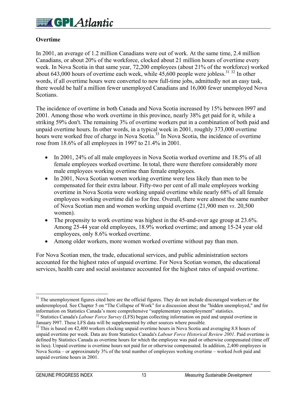### $\mathbb{Z}$  GP Atlantic

### **Overtime**

In 2001, an average of 1.2 million Canadians were out of work. At the same time, 2.4 million Canadians, or about 20% of the workforce, clocked about 21 million hours of overtime every week. In Nova Scotia in that same year, 72,200 employees (about 21% of the workforce) worked about 643,000 hours of overtime each week, while  $45,600$  people were jobless.<sup>31 32</sup> In other words, if all overtime hours were converted to new full-time jobs, admittedly not an easy task, there would be half a million fewer unemployed Canadians and 16,000 fewer unemployed Nova Scotians.

The incidence of overtime in both Canada and Nova Scotia increased by 15% between l997 and 2001. Among those who work overtime in this province, nearly 38% get paid for it, while a striking 59% don't. The remaining 3% of overtime workers put in a combination of both paid and unpaid overtime hours. In other words, in a typical week in 2001, roughly 373,000 overtime hours were worked free of charge in Nova Scotia.<sup>33</sup> In Nova Scotia, the incidence of overtime rose from 18.6% of all employees in 1997 to 21.4% in 2001*.*

- In 2001, 24% of all male employees in Nova Scotia worked overtime and 18.5% of all female employees worked overtime. In total, there were therefore considerably more male employees working overtime than female employees.
- In 2001, Nova Scotian women working overtime were less likely than men to be compensated for their extra labour. Fifty-two per cent of all male employees working overtime in Nova Scotia were working unpaid overtime while nearly 68% of all female employees working overtime did so for free. Overall, there were almost the same number of Nova Scotian men and women working unpaid overtime (21,900 men *vs*. 20,500 women).
- The propensity to work overtime was highest in the 45-and-over age group at 23.6%. Among 25-44 year old employees, 18.9% worked overtime; and among 15-24 year old employees, only 8.6% worked overtime.
- Among older workers, more women worked overtime without pay than men.

For Nova Scotian men, the trade, educational services, and public administration sectors accounted for the highest rates of unpaid overtime. For Nova Scotian women, the educational services, health care and social assistance accounted for the highest rates of unpaid overtime.

<sup>&</sup>lt;sup>31</sup> The unemployment figures cited here are the official figures. They do not include discouraged workers or the underemployed. See Chapter 5 on "The Collapse of Work" for a discussion about the "hidden unemployed," and for information on Statistics Canada's more comprehensive "supplementary unemployment" statistics.

<sup>&</sup>lt;sup>32</sup> Statistics Canada's *Labour Force Survey* (LFS) began collecting information on paid and unpaid overtime in January 1997. These LFS data will be supplemented by other sources where possible.

<sup>&</sup>lt;sup>33</sup> This is based on 42,400 workers clocking unpaid overtime hours in Nova Scotia and averaging 8.8 hours of unpaid overtime per week. Data are from Statistics Canada's *Labour Force Historical Review 2001*. Paid overtime is defined by Statistics Canada as overtime hours for which the employee was paid or otherwise compensated (time off in lieu). Unpaid overtime is overtime hours not paid for or otherwise compensated. In addition, 2,400 employees in Nova Scotia – or approximately 3% of the total number of employees working overtime – worked *both* paid and unpaid overtime hours in 2001.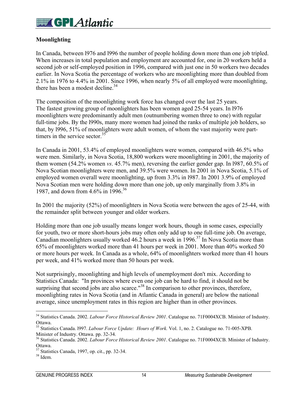#### **Moonlighting**

In Canada, between l976 and l996 the number of people holding down more than one job tripled. When increases in total population and employment are accounted for, one in 20 workers held a second job or self-employed position in 1996, compared with just one in 50 workers two decades earlier. In Nova Scotia the percentage of workers who are moonlighting more than doubled from 2.1% in 1976 to 4.4% in 2001. Since 1996, when nearly 5% of all employed were moonlighting, there has been a modest decline.<sup>34</sup>

The composition of the moonlighting work force has changed over the last 25 years. The fastest growing group of moonlighters has been women aged 25-54 years. In l976 moonlighters were predominantly adult men (outnumbering women three to one) with regular full-time jobs. By the l990s, many more women had joined the ranks of multiple job holders, so that, by l996, 51% of moonlighters were adult women, of whom the vast majority were parttimers in the service sector  $35$ 

In Canada in 2001, 53.4% of employed moonlighters were women, compared with 46.5% who were men. Similarly, in Nova Scotia, 18,800 workers were moonlighting in 2001, the majority of them women (54.2% women *vs*. 45.7% men), reversing the earlier gender gap. In l987, 60.5% of Nova Scotian moonlighters were men, and 39.5% were women. In 2001 in Nova Scotia, 5.1% of employed women overall were moonlighting, up from 3.3% in l987. In 2001 3.9% of employed Nova Scotian men were holding down more than one job, up only marginally from 3.8% in 1987, and down from 4.6% in 1996.<sup>36</sup>

In 2001 the majority (52%) of moonlighters in Nova Scotia were between the ages of 25-44, with the remainder split between younger and older workers.

Holding more than one job usually means longer work hours, though in some cases, especially for youth, two or more short-hours jobs may often only add up to one full-time job. On average, Canadian moonlighters usually worked 46.2 hours a week in 1996.<sup>37</sup> In Nova Scotia more than 65% of moonlighters worked more than 41 hours per week in 2001. More than 40% worked 50 or more hours per week. In Canada as a whole, 64% of moonlighters worked more than 41 hours per week, and 41% worked more than 50 hours per week.

Not surprisingly, moonlighting and high levels of unemployment don't mix. According to Statistics Canada: "In provinces where even one job can be hard to find, it should not be surprising that second jobs are also scarce."<sup>38</sup> In comparison to other provinces, therefore, moonlighting rates in Nova Scotia (and in Atlantic Canada in general) are below the national average, since unemployment rates in this region are higher than in other provinces.

<sup>34</sup> Statistics Canada. 2002. *Labour Force Historical Review 2001*. Catalogue no. 71F0004XCB. Minister of Industry. Ottawa.

<sup>35</sup> Statistics Canada. l997. *Labour Force Update: Hours of Work.* Vol. 1, no. 2. Catalogue no. 71-005-XPB. Minister of Industry. Ottawa. pp. 32-34.

<sup>36</sup> Statistics Canada. 2002. *Labour Force Historical Review 2001*. Catalogue no. 71F0004XCB. Minister of Industry. Ottawa.

<sup>37</sup> Statistics Canada, 1997, op. cit., pp. 32-34.

<sup>38</sup> Idem.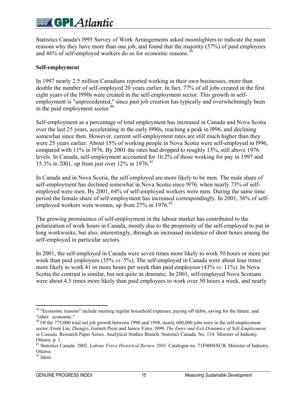# **EV GPI Atlantic**

Statistics Canada's l995 Survey of Work Arrangements asked moonlighters to indicate the main reasons why they have more than one job, and found that the majority (57%) of paid employees and 46% of self-employed workers do so for economic reasons.<sup>39</sup>

#### **Self-employment**

In 1997 nearly 2.5 million Canadians reported working in their own businesses, more than double the number of self-employed 20 years earlier. In fact, 77% of all jobs created in the first eight years of the l990s were created in the self-employment sector. This growth in selfemployment is "unprecedented," since past job creation has typically and overwhelmingly been in the paid employment sector. $40$ 

Self-employment as a percentage of total employment has increased in Canada and Nova Scotia over the last 25 years, accelerating in the early l990s, reaching a peak in l996, and declining somewhat since then. However, current self-employment rates are still much higher than they were 25 years earlier. About 15% of working people in Nova Scotia were self-employed in l996, compared with 11% in l976. By 2001 the rates had dropped to roughly 13%, still above 1976 levels. In Canada, self-employment accounted for 16.2% of those working for pay in 1997 and 15.3% in 2001, up from just over 12% in 1976.<sup>41</sup>

In Canada and in Nova Scotia, the self-employed are more likely to be men. The male share of self-employment has declined somewhat in Nova Scotia since l976, when nearly 73% of selfemployed were men. By 2001, 64% of self-employed workers were men. During the same time period the female share of self-employment has increased correspondingly. In 2001, 36% of selfemployed workers were women, up from  $27\%$  in 1976.<sup>42</sup>

The growing prominence of self-employment in the labour market has contributed to the polarization of work hours in Canada, mostly due to the propensity of the self-employed to put in long workweeks, but also, interestingly, through an increased incidence of short hours among the self-employed in particular sectors.

In 2001, the self-employed in Canada were seven times more likely to work 50 hours or more per week than paid employees (35% *vs*. 5%). The self-employed in Canada were about four times more likely to work 41 or more hours per week than paid employees (43% *vs*. 11%). In Nova Scotia the contrast is similar, but not quite as dramatic. In 2001, self-employed Nova Scotians were about 4.5 times more likely than paid employees to work over 50 hours a week, and nearly

 $\overline{a}$ <sup>39</sup> "Economic reasons" include meeting regular household expenses, paying off debts, saving for the future, and "other: economic."

 $^{40}$  Of the 775,000 total net job growth between 1990 and 1998, nearly 600,000 jobs were in the self-employment sector. From Lin, Zhengxi, Garnett Picot and Janice Yates. l999. *The Entry and Exit Dynamics of Self-Employment in Canada.* Research Paper Series. Analytical Studies Branch. Statistics Canada. No. 134. Minister of Industry. Ottawa. p. 1.

<sup>41</sup> Statistics Canada. 2002. *Labour Force Historical Review 2001.* Catalogue no. 71F0004XCB. Minister of Industry. Ottawa.

 $42$  Idem.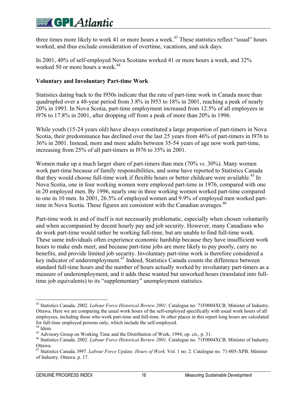three times more likely to work 41 or more hours a week.<sup>43</sup> These statistics reflect "usual" hours worked, and thus exclude consideration of overtime, vacations, and sick days.

In 2001, 40% of self-employed Nova Scotians worked 41 or more hours a week, and 32% worked 50 or more hours a week  $44$ 

### **Voluntary and Involuntary Part-time Work**

Statistics dating back to the l950s indicate that the rate of part-time work in Canada more than quadrupled over a 48-year period from 3.8% in l953 to 18% in 2001, reaching a peak of nearly 20% in 1993. In Nova Scotia, part-time employment increased from 12.5% of all employees in l976 to 17.8% in 2001, after dropping off from a peak of more than 20% in 1996.

While youth (15-24 years old) have always constituted a large proportion of part-timers in Nova Scotia, their predominance has declined over the last 25 years from 46% of part-timers in l976 to 36% in 2001. Instead, more and more adults between 35-54 years of age now work part-time, increasing from 25% of all part-timers in l976 to 35% in 2001.

Women make up a much larger share of part-timers than men (70% *vs*. 30%). Many women work part-time because of family responsibilities, and some have reported to Statistics Canada that they would choose full-time work if flexible hours or better childcare were available.<sup>45</sup> In Nova Scotia, one in four working women were employed part-time in 1976, compared with one in 20 employed men. By 1996, nearly one in three working women worked part-time compared to one in 10 men. In 2001, 26.5% of employed women and 9.9% of employed men worked parttime in Nova Scotia. These figures are consistent with the Canadian averages.<sup>46</sup>

Part-time work in and of itself is not necessarily problematic, especially when chosen voluntarily and when accompanied by decent hourly pay and job security. However, many Canadians who do work part-time would rather be working full-time, but are unable to find full-time work. These same individuals often experience economic hardship because they have insufficient work hours to make ends meet, and because part-time jobs are more likely to pay poorly, carry no benefits, and provide limited job security. Involuntary part-time work is therefore considered a key indicator of underemployment.<sup>47</sup> Indeed, Statistics Canada counts the difference between standard full-time hours and the number of hours actually worked by involuntary part-timers as a measure of underemployment, and it adds these wanted but unworked hours (translated into fulltime job equivalents) to its "supplementary" unemployment statistics.

 $\overline{a}$ 43 Statistics Canada. 2002*. Labour Force Historical Review 2001*. Catalogue no. 71F0004XCB. Minister of Industry. Ottawa. Here we are comparing the usual work hours of the self-employed specifically with usual work hours of all employees, including those who work part-time and full-time. In other places in this report long hours are calculated for full-time employed persons only, which include the self-employed.

<sup>44</sup> Idem.

<sup>45</sup> Advisory Group on Working Time and the Distribution of Work, 1994, op. cit., p. 31.

<sup>46</sup> Statistics Canada. 2002. *Labour Force Historical Review 2001*. Catalogue no. 71F0004XCB. Minister of Industry. Ottawa.

<sup>47</sup> Statistics Canada. l997. *Labour Force Update. Hours of Work.* Vol. 1 no. 2. Catalogue no. 71-005-XPB. Minister of Industry. Ottawa. p. 17.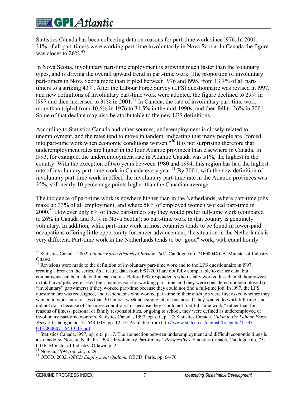Statistics Canada has been collecting data on reasons for part-time work since l976. In 2001, 31% of all part-timers were working part-time involuntarily in Nova Scotia. In Canada the figure was closer to 26%.<sup>48</sup>

In Nova Scotia, involuntary part-time employment is growing much faster than the voluntary types, and is driving the overall upward trend in part-time work. The proportion of involuntary part-timers in Nova Scotia more than tripled between l976 and l995, from 13.7% of all parttimers to a striking 43%. After the Labour Force Survey (LFS) questionnaire was revised in l997, and new definitions of involuntary part-time work were adopted, the figure declined to 29% in l997 and then increased to 31% in 2001.49 In Canada, the rate of involuntary part-time work more than tripled from 10.6% in 1976 to 31.5% in the mid-1990s, and then fell to 26% in 2001. Some of that decline may also be attributable to the new LFS definitions.

According to Statistics Canada and other sources, underemployment is closely related to unemployment, and the rates tend to move in tandem, indicating that many people are "forced into part-time work when economic conditions worsen."50 It is not surprising therefore that underemployment rates are higher in the four Atlantic provinces than elsewhere in Canada. In l993, for example, the underemployment rate in Atlantic Canada was 51%, the highest in the country. With the exception of two years between 1980 and 1994, this region has had the highest rate of involuntary part-time work in Canada every year.<sup>51</sup> By 2001, with the new definition of involuntary part-time work in effect, the involuntary part-time rate in the Atlantic provinces was 35%, still nearly 10 percentage points higher than the Canadian average.

The incidence of part-time work is nowhere higher than in the Netherlands, where part-time jobs make up 33% of all employment, and where 58% of employed women worked part-time in 2000.52 However only 6% of these part-timers say they would prefer full-time work (compared to 26% in Canada and 31% in Nova Scotia); so part-time work in that country is genuinely voluntary. In addition, while part-time work in most countries tends to be found in lower-paid occupations offering little opportunity for career advancement, the situation in the Netherlands is very different. Part-time work in the Netherlands tends to be "good" work, with equal hourly

 $\overline{a}$ 48 Statistics Canada. 2002. *Labour Force Historical Review 2001*. Catalogue no. 71F0004XCB. Minister of Industry. Ottawa.

 $49$  Revisions were made to the definition of involuntary part-time work and to the LFS questionnaire in 1997, creating a break in the series. As a result, data from l997-2001 are not fully comparable to earlier data, but comparisons can be made within each series. Before l997 respondents who usually worked less than 30 hours/week in total in *all* jobs were asked their main reason for working part-time, and they were considered underemployed (or "involuntary" part-timers) if they worked part-time because they could not find a full-time job. In l997, the LFS questionnaire was redesigned, and respondents who worked part-time in their *main* job were first asked whether they wanted to work more or less than 30 hours a week at a single job or business. If they wanted to work full-time, and did not do so because of "business conditions" or because they "could not find full-time work," rather than for reasons of illness, personal or family responsibilities, or going to school, they were defined as underemployed or involuntary part-time workers. Statistics Canada, 1997, op. cit., p. 17; Statistics Canada. *Guide to the Labour Force Survey.* Catalogue no. 71-543-GIE. pp. 12-13; Available from http://www.statcan.ca/english/freepub/71-543-GIE. pdf.

 $\frac{50}{10}$  Statistics Canada, 1997, op. cit., p. 17. The connection between underemployment and difficult economic times is also made by Noreau, Nathalie. l994. "Involuntary Part-timers." *Perspectives*. Statistics Canada. Catalogue no. 75- 001E. Minister of Industry. Ottawa. p. 25.

<sup>51</sup> Noreau, 1994, op. cit., p. 29.

<sup>52</sup> OECD. 2002. *OECD Employment Outlook.* OECD. Paris. pp. 64-70.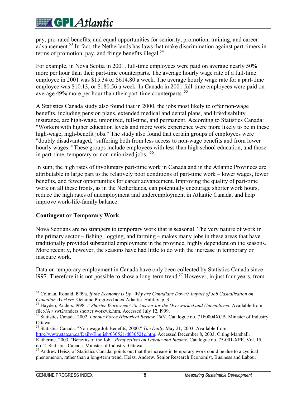pay, pro-rated benefits, and equal opportunities for seniority, promotion, training, and career advancement.<sup>53</sup> In fact, the Netherlands has laws that make discrimination against part-timers in terms of promotion, pay, and fringe benefits illegal. $54$ 

For example, in Nova Scotia in 2001, full-time employees were paid on average nearly 50% more per hour than their part-time counterparts. The average hourly wage rate of a full-time employee in 2001 was \$15.34 or \$614.80 a week. The average hourly wage rate for a part-time employee was \$10.13, or \$180.56 a week. In Canada in 2001 full-time employees were paid on average 49% more per hour than their part-time counterparts. 55

A Statistics Canada study also found that in 2000, the jobs most likely to offer non-wage benefits, including pension plans, extended medical and dental plans, and life/disability insurance, are high-wage, unionized, full-time, and permanent. According to Statistics Canada: "Workers with higher education levels and more work experience were more likely to be in these high-wage, high-benefit jobs." The study also found that certain groups of employees were "doubly disadvantaged," suffering both from less access to non-wage benefits and from lower hourly wages. "These groups include employees with less than high school education, and those in part-time, temporary or non-unionized jobs."56

In sum, the high rates of involuntary part-time work in Canada and in the Atlantic Provinces are attributable in large part to the relatively poor conditions of part-time work – lower wages, fewer benefits, and fewer opportunities for career advancement. Improving the quality of part-time work on all these fronts, as in the Netherlands, can potentially encourage shorter work hours, reduce the high rates of unemployment and underemployment in Atlantic Canada, and help improve work-life-family balance.

### **Contingent or Temporary Work**

Nova Scotians are no strangers to temporary work that is seasonal. The very nature of work in the primary sector – fishing, logging, and farming – makes many jobs in these areas that have traditionally provided substantial employment in the province, highly dependent on the seasons. More recently, however, the seasons have had little to do with the increase in temporary or insecure work.

Data on temporary employment in Canada have only been collected by Statistics Canada since 1997. Therefore it is not possible to show a long-term trend.<sup>57</sup> However, in just four years, from

*Canadian Workers.* Genuine Progress Index Atlantic. Halifax. p. 3.<br><sup>54</sup> Hayden, Anders. 1998. *A Shorter Workweek? An Answer for the Overworked and Unemployed*. Available from file://A:\swt2\anders shorter workwk.htm. Acc

56 Statistics Canada. "Non-wage Job Benefits*,* 2000." *The Daily.* May 21, 2003. Available from http://www.statcan.ca/Daily/English/030521/d030521c.htm. Accessed December 8, 2003. Citing Marshall, Katherine. 2003. "Benefits of the Job." *Perspectives on Labour and Income.* Catalogue no. 75-001-XPE. Vol. 15, no. 2. Statistics Canada. Minister of Industry. Ottawa.

 $\overline{a}$ 53 Colman, Ronald. l999a. *If the Economy is Up, Why are Canadians Down? Impact of Job Casualization on*

<sup>&</sup>lt;sup>55</sup> Statistics Canada. 2002. *Labour Force Historical Review 2001*. Catalogue no. 71F0004XCB. Minister of Industry. Ottawa.

<sup>&</sup>lt;sup>57</sup> Andrew Heisz, of Statistics Canada, points out that the increase in temporary work could be due to a cyclical phenomenon, rather than a long-term trend. Heisz, Andrew. Senior Research Economist, Business and Labour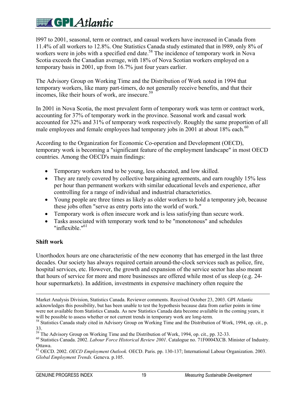l997 to 2001, seasonal, term or contract, and casual workers have increased in Canada from 11.4% of all workers to 12.8%. One Statistics Canada study estimated that in l989, only 8% of workers were in jobs with a specified end date.<sup>58</sup> The incidence of temporary work in Nova Scotia exceeds the Canadian average, with 18% of Nova Scotian workers employed on a temporary basis in 2001, up from 16.7% just four years earlier.

The Advisory Group on Working Time and the Distribution of Work noted in 1994 that temporary workers, like many part-timers, do not generally receive benefits, and that their incomes, like their hours of work, are insecure.<sup>59</sup>

In 2001 in Nova Scotia, the most prevalent form of temporary work was term or contract work, accounting for 37% of temporary work in the province. Seasonal work and casual work accounted for 32% and 31% of temporary work respectively. Roughly the same proportion of all male employees and female employees had temporary jobs in 2001 at about 18% each.<sup>60</sup>

According to the Organization for Economic Co-operation and Development (OECD), temporary work is becoming a "significant feature of the employment landscape" in most OECD countries. Among the OECD's main findings:

- Temporary workers tend to be young, less educated, and low skilled.
- They are rarely covered by collective bargaining agreements, and earn roughly 15% less per hour than permanent workers with similar educational levels and experience, after controlling for a range of individual and industrial characteristics.
- Young people are three times as likely as older workers to hold a temporary job, because these jobs often "serve as entry ports into the world of work."
- Temporary work is often insecure work and is less satisfying than secure work.
- Tasks associated with temporary work tend to be "monotonous" and schedules "inflexible."<sup>61</sup>

### **Shift work**

Unorthodox hours are one characteristic of the new economy that has emerged in the last three decades. Our society has always required certain around-the-clock services such as police, fire, hospital services, etc. However, the growth and expansion of the service sector has also meant that hours of service for more and more businesses are offered while most of us sleep (e.g. 24 hour supermarkets). In addition, investments in expensive machinery often require the

 Market Analysis Division, Statistics Canada. Reviewer comments. Received October 23, 2003. GPI Atlantic acknowledges this possibility, but has been unable to test the hypothesis because data from earlier points in time were not available from Statistics Canada. As new Statistics Canada data become available in the coming years, it will be possible to assess whether or not current trends in temporary work are long-term.<br><sup>58</sup> Statistics Canada study cited in Advisory Group on Working Time and the Distribution of Work, 1994, op. cit., p.

<sup>33.</sup>

<sup>&</sup>lt;sup>59</sup> The Advisory Group on Working Time and the Distribution of Work, 1994, op. cit., pp. 32-33.

<sup>60</sup> Statistics Canada. 2002. *Labour Force Historical Review 2001*. Catalogue no. 71F0004XCB. Minister of Industry. Ottawa.

<sup>61</sup> OECD. 2002. *OECD Employment Outlook.* OECD. Paris. pp. 130-137; International Labour Organization. 2003. *Global Employment Trends.* Geneva. p.105.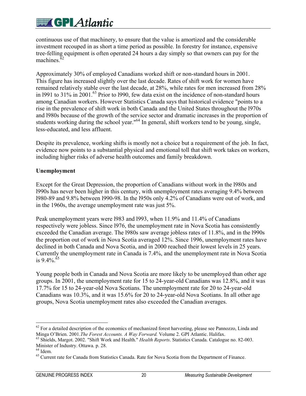# **EX GPI** Atlantic

continuous use of that machinery, to ensure that the value is amortized and the considerable investment recouped in as short a time period as possible. In forestry for instance, expensive tree-felling equipment is often operated 24 hours a day simply so that owners can pay for the machines.<sup>62</sup>

Approximately 30% of employed Canadians worked shift or non-standard hours in 2001. This figure has increased slightly over the last decade. Rates of shift work for women have remained relatively stable over the last decade, at 28%, while rates for men increased from 28% in 1991 to  $31\%$  in 2001.<sup>63</sup> Prior to 1990, few data exist on the incidence of non-standard hours among Canadian workers. However Statistics Canada says that historical evidence "points to a rise in the prevalence of shift work in both Canada and the United States throughout the l970s and l980s because of the growth of the service sector and dramatic increases in the proportion of students working during the school year."<sup>64</sup> In general, shift workers tend to be young, single, less-educated, and less affluent.

Despite its prevalence, working shifts is mostly not a choice but a requirement of the job. In fact, evidence now points to a substantial physical and emotional toll that shift work takes on workers, including higher risks of adverse health outcomes and family breakdown.

### **Unemployment**

Except for the Great Depression, the proportion of Canadians without work in the l980s and l990s has never been higher in this century, with unemployment rates averaging 9.4% between l980-89 and 9.8% between l990-98. In the l950s only 4.2% of Canadians were out of work, and in the 1960s, the average unemployment rate was just 5%.

Peak unemployment years were l983 and l993, when 11.9% and 11.4% of Canadians respectively were jobless. Since l976, the unemployment rate in Nova Scotia has consistently exceeded the Canadian average. The l980s saw average jobless rates of 11.8%, and in the l990s the proportion out of work in Nova Scotia averaged 12%. Since 1996, unemployment rates have declined in both Canada and Nova Scotia, and in 2000 reached their lowest levels in 25 years. Currently the unemployment rate in Canada is 7.4%, and the unemployment rate in Nova Scotia is  $9.4\%$ <sup>65</sup>

Young people both in Canada and Nova Scotia are more likely to be unemployed than other age groups. In 2001, the unemployment rate for 15 to 24-year-old Canadians was 12.8%, and it was 17.7% for 15 to 24-year-old Nova Scotians. The unemployment rate for 20 to 24-year-old Canadians was 10.3%, and it was 15.6% for 20 to 24-year-old Nova Scotians. In all other age groups, Nova Scotia unemployment rates also exceeded the Canadian averages.

 $\overline{a}$  $62$  For a detailed description of the economics of mechanized forest harvesting, please see Pannozzo, Linda and Minga O'Brien. 2001. The Forest Accounts. A Way Forward. Volume 2. GPI Atlantic. Halifax.

<sup>&</sup>lt;sup>63</sup> Shields, Margot. 2002. "Shift Work and Health." *Health Reports*. Statistics Canada. Catalogue no. 82-003. Minister of Industry. Ottawa. p. 28.

 $^{64}$  Idem.

<sup>&</sup>lt;sup>65</sup> Current rate for Canada from Statistics Canada. Rate for Nova Scotia from the Department of Finance.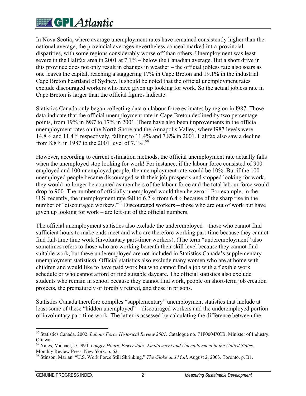# $\blacksquare$  GP  $\cal{A}$ tlantic

In Nova Scotia, where average unemployment rates have remained consistently higher than the national average, the provincial averages nevertheless conceal marked intra-provincial disparities, with some regions considerably worse off than others. Unemployment was least severe in the Halifax area in 2001 at 7.1% – below the Canadian average. But a short drive in this province does not only result in changes in weather – the official jobless rate also soars as one leaves the capital, reaching a staggering 17% in Cape Breton and 19.1% in the industrial Cape Breton heartland of Sydney. It should be noted that the official unemployment rates exclude discouraged workers who have given up looking for work. So the actual jobless rate in Cape Breton is larger than the official figures indicate.

Statistics Canada only began collecting data on labour force estimates by region in l987. Those data indicate that the official unemployment rate in Cape Breton declined by two percentage points, from 19% in l987 to 17% in 2001. There have also been improvements in the official unemployment rates on the North Shore and the Annapolis Valley, where l987 levels were 14.8% and 11.4% respectively, falling to 11.4% and 7.8% in 2001. Halifax also saw a decline from 8.8% in 1987 to the 2001 level of  $7.1\%$ .<sup>66</sup>

However, according to current estimation methods, the official unemployment rate actually falls when the unemployed stop looking for work! For instance, if the labour force consisted of 900 employed and 100 unemployed people, the unemployment rate would be 10%. But if the 100 unemployed people became discouraged with their job prospects and stopped looking for work, they would no longer be counted as members of the labour force and the total labour force would drop to 900. The number of officially unemployed would then be zero.<sup>67</sup> For example, in the U.S. recently, the unemployment rate fell to 6.2% from 6.4% because of the sharp rise in the number of "discouraged workers."<sup>68</sup> Discouraged workers – those who are out of work but have given up looking for work – are left out of the official numbers.

The official unemployment statistics also exclude the underemployed – those who cannot find sufficient hours to make ends meet and who are therefore working part-time because they cannot find full-time time work (involuntary part-timer workers). (The term "underemployment" also sometimes refers to those who are working beneath their skill level because they cannot find suitable work, but these underemployed are not included in Statistics Canada's supplementary unemployment statistics). Official statistics also exclude many women who are at home with children and would like to have paid work but who cannot find a job with a flexible work schedule or who cannot afford or find suitable daycare. The official statistics also exclude students who remain in school because they cannot find work, people on short-term job creation projects, the prematurely or forcibly retired, and those in prisons.

Statistics Canada therefore compiles "supplementary" unemployment statistics that include at least some of these "hidden unemployed" – discouraged workers and the underemployed portion of involuntary part-time work. The latter is assessed by calculating the difference between the

<sup>66</sup> Statistics Canada. 2002. *Labour Force Historical Review 2001*. Catalogue no. 71F0004XCB. Minister of Industry. Ottawa.

<sup>67</sup> Yates, Michael, D. l994. *Longer Hours, Fewer Jobs. Employment and Unemployment in the United States.* Monthly Review Press. New York. p. 62.

<sup>68</sup> Stinson, Marian. "U.S. Work Force Still Shrinking." *The Globe and Mail*. August 2, 2003. Toronto. p. B1.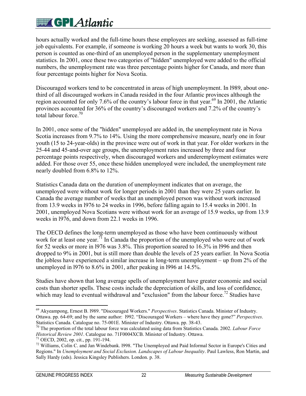hours actually worked and the full-time hours these employees are seeking, assessed as full-time job equivalents. For example, if someone is working 20 hours a week but wants to work 30, this person is counted as one-third of an unemployed person in the supplementary unemployment statistics. In 2001, once these two categories of "hidden" unemployed were added to the official numbers, the unemployment rate was three percentage points higher for Canada, and more than four percentage points higher for Nova Scotia.

Discouraged workers tend to be concentrated in areas of high unemployment. In l989, about onethird of all discouraged workers in Canada resided in the four Atlantic provinces although the region accounted for only 7.6% of the country's labour force in that year.<sup>69</sup> In 2001, the Atlantic provinces accounted for 36% of the country's discouraged workers and 7.2% of the country's total labour force  $70$ 

In 2001, once some of the "hidden" unemployed are added in, the unemployment rate in Nova Scotia increases from 9.7% to 14%. Using the more comprehensive measure, nearly one in four youth (15 to 24-year-olds) in the province were out of work in that year. For older workers in the 25-44 and 45-and-over age groups, the unemployment rates increased by three and four percentage points respectively, when discouraged workers and underemployment estimates were added. For those over 55, once these hidden unemployed were included, the unemployment rate nearly doubled from 6.8% to 12%.

Statistics Canada data on the duration of unemployment indicates that on average, the unemployed were without work for longer periods in 2001 than they were 25 years earlier. In Canada the average number of weeks that an unemployed person was without work increased from 13.9 weeks in l976 to 24 weeks in 1996, before falling again to 15.4 weeks in 2001. In 2001, unemployed Nova Scotians were without work for an average of 15.9 weeks, up from 13.9 weeks in l976, and down from 22.1 weeks in 1996.

The OECD defines the long-term unemployed as those who have been continuously without work for at least one year.<sup>71</sup> In Canada the proportion of the unemployed who were out of work for 52 weeks or more in l976 was 3.8%. This proportion soared to 16.3% in l996 and then dropped to 9% in 2001, but is still more than double the levels of 25 years earlier. In Nova Scotia the jobless have experienced a similar increase in long-term unemployment – up from 2% of the unemployed in l976 to 8.6% in 2001, after peaking in l996 at 14.5%.

Studies have shown that long average spells of unemployment have greater economic and social costs than shorter spells. These costs include the depreciation of skills, and loss of confidence, which may lead to eventual withdrawal and "exclusion" from the labour force.<sup>72</sup> Studies have

 $\overline{a}$ 69 Akyeampong, Ernest B. l989. "Discouraged Workers." *Perspectives*. Statistics Canada. Minister of Industry. Ottawa. pp. 64-69; and by the same author: l992. "Discouraged Workers – where have they gone?" *Perspectives*. Statistics Canada. Catalogue no. 75-001E. Minister of Industry. Ottawa. pp. 38-43.

<sup>70</sup> The proportion of the total labour force was calculated using data from Statistics Canada. 2002. *Labour Force Historical Review 2001*. Catalogue no. 71F0004XCB. Minister of Industry. Ottawa. <sup>71</sup> OECD, 2002, op. cit., pp. 191-194.

<sup>72</sup> Williams, Colin C. and Jan Windebank. l998. "The Unemployed and Paid Informal Sector in Europe's Cities and Regions." In *Unemployment and Social Exclusion. Landscapes of Labour Inequality*. Paul Lawless, Ron Martin, and Sally Hardy (eds). Jessica Kingsley Publishers. London. p. 38.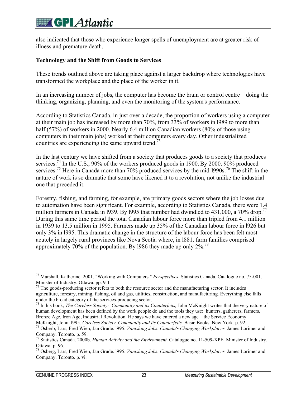also indicated that those who experience longer spells of unemployment are at greater risk of illness and premature death.

#### **Technology and the Shift from Goods to Services**

These trends outlined above are taking place against a larger backdrop where technologies have transformed the workplace and the place of the worker in it.

In an increasing number of jobs, the computer has become the brain or control centre – doing the thinking, organizing, planning, and even the monitoring of the system's performance.

According to Statistics Canada, in just over a decade, the proportion of workers using a computer at their main job has increased by more than 70%, from 33% of workers in l989 to more than half (57%) of workers in 2000. Nearly 6.4 million Canadian workers (80% of those using computers in their main jobs) worked at their computers every day. Other industrialized countries are experiencing the same upward trend.<sup>7</sup>

In the last century we have shifted from a society that produces goods to a society that produces services.<sup>74</sup> In the U.S., 90% of the workers produced goods in 1900. By 2000, 90% produced services.<sup>75</sup> Here in Canada more than 70% produced services by the mid-1990s.<sup>76</sup> The shift in the nature of work is so dramatic that some have likened it to a revolution, not unlike the industrial one that preceded it.

Forestry, fishing, and farming, for example, are primary goods sectors where the job losses due to automation have been significant. For example, according to Statistics Canada, there were 1.4 million farmers in Canada in 1939. By 1995 that number had dwindled to  $431,000$ , a  $70\%$  drop.<sup>77</sup> During this same time period the total Canadian labour force more than tripled from 4.1 million in 1939 to 13.5 million in 1995. Farmers made up 35% of the Canadian labour force in l926 but only 3% in l995. This dramatic change in the structure of the labour force has been felt most acutely in largely rural provinces like Nova Scotia where, in l881, farm families comprised approximately 70% of the population. By l986 they made up only 2%.78

<sup>76</sup> Osberb, Lars, Fred Wien, Jan Grude. 1995. *Vanishing Jobs. Canada's Changing Workplaces.* James Lorimer and Company. Toronto. p. 59.

<sup>73</sup> Marshall, Katherine. 2001. "Working with Computers." *Perspectives*. Statistics Canada. Catalogue no. 75-001. Minister of Industry. Ottawa. pp. 9-11.

 $74$  The goods-producing sector refers to both the resource sector and the manufacturing sector. It includes agriculture, forestry, mining, fishing, oil and gas, utilities, construction, and manufacturing. Everything else falls under the broad category of the services-producing sector.<br><sup>75</sup> In his book, *The Careless Society: Community and its Counterfeits*, John McKnight writes that the very nature of

human development has been defined by the work people do and the tools they use: hunters, gatherers, farmers, Bronze Age, Iron Age, Industrial Revolution. He says we have entered a new age – the Service Economy.<br>McKnight, John. 1995. Careless Society. Community and its Counterfeits. Basic Books. New York. p. 92.

<sup>77</sup> Statistics Canada. 2000b. *Human Activity and the Environment.* Catalogue no. 11-509-XPE. Minister of Industry. Ottawa. p. 96.

<sup>78</sup> Osberg, Lars, Fred Wien, Jan Grude. l995. *Vanishing Jobs. Canada's Changing Workplaces.* James Lorimer and Company. Toronto. p. vi.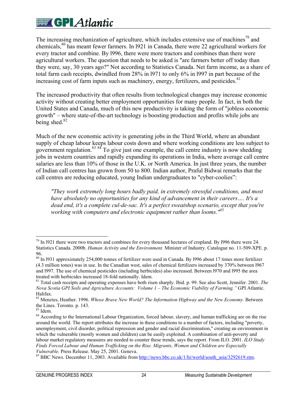The increasing mechanization of agriculture, which includes extensive use of machines<sup>79</sup> and chemicals,80 has meant fewer farmers. In l921 in Canada, there were 22 agricultural workers for every tractor and combine. By l996, there were more tractors and combines than there were agricultural workers. The question that needs to be asked is "are farmers better off today than they were, say, 30 years ago?" Not according to Statistics Canada. Net farm income, as a share of total farm cash receipts, dwindled from 28% in l971 to only 6% in l997 in part because of the increasing cost of farm inputs such as machinery, energy, fertilizers, and pesticides.  $81$ 

The increased productivity that often results from technological changes may increase economic activity without creating better employment opportunities for many people. In fact, in both the United States and Canada, much of this new productivity is taking the form of "jobless economic growth" – where state-of-the-art technology is boosting production and profits while jobs are being shed. $82$ 

Much of the new economic activity is generating jobs in the Third World, where an abundant supply of cheap labour keeps labour costs down and where working conditions are less subject to government regulation.<sup>83 84</sup> To give just one example, the call centre industry is now shedding jobs in western countries and rapidly expanding its operations in India, where average call centre salaries are less than 10% of those in the U.K. or North America. In just three years, the number of Indian call centres has grown from 50 to 800. Indian author, Praful Bidwai remarks that the call centres are reducing educated, young Indian undergraduates to "cyber-coolies":

*"They work extremely long hours badly paid, in extremely stressful conditions, and most have absolutely no opportunities for any kind of advancement in their careers…. It's a dead end, it's a complete cul-de-sac. It's a perfect sweatshop scenario, except that you're working with computers and electronic equipment rather than looms."85*

 $\overline{a}$  $79$  In 1921 there were two tractors and combines for every thousand hectares of cropland. By 1996 there were 24. Statistics Canada. 2000b. *Human Activity and the Environment.* Minister of Industry. Catalogue no. 11-509-XPE. p. 96.

<sup>&</sup>lt;sup>80</sup> In 1931 approximately 254,000 tonnes of fertilizer were used in Canada. By 1996 about 17 times more fertilizer (4.3 million tones) was in use. In the Canadian west, sales of chemical fertilizers increased by 370% between l967 and l997. The use of chemical pesticides (including herbicides) also increased. Between l970 and l995 the area treated with herbicides increased 18-fold nationally. Idem.

<sup>81</sup> Total cash receipts and operating expenses have both risen sharply. Ibid. p. 99. See also Scott, Jennifer. 2001. *The Nova Scotia GPI Soils and Agriculture Accounts: Volume 1 – The Economic Viability of Farming."* GPI Atlantic. Halifax.

<sup>&</sup>lt;sup>82</sup> Menzies, Heather. 1996. *Whose Brave New World? The Information Highway and the New Economy*. Between the Lines. Toronto. p. 143.

<sup>83</sup> Idem.

<sup>&</sup>lt;sup>84</sup> According to the International Labour Organization, forced labour, slavery, and human trafficking are on the rise around the world. The report attributes the increase in these conditions to a number of factors, including "poverty, unemployment, civil disorder, political repression and gender and racial discrimination," creating an environment in which the vulnerable (mostly women and children) can be easily exploited. A combination of anti-poverty and labour market regulatory measures are needed to counter these trends, says the report. From ILO. 2001. *ILO Study Finds Forced Labour and Human Trafficking on the Rise. Migrants, Women and Children are Especially Vulnerable.* Press Release. May 25, 2001. Geneva.<br><sup>85</sup> BBC News. December 11, 2003. Available from http://news.bbc.co.uk/1/hi/world/south\_asia/3292619.stm.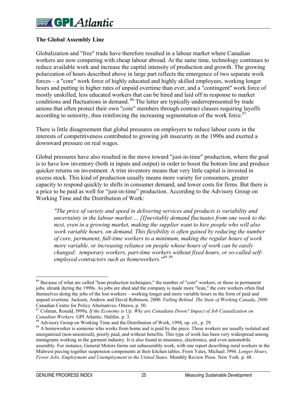### $\mathbb{Z}$  GP Atlantic

### **The Global Assembly Line**

Globalization and "free" trade have therefore resulted in a labour market where Canadian workers are now competing with cheap labour abroad. At the same time, technology continues to reduce available work and increase the capital intensity of production and growth. The growing polarization of hours described above in large part reflects the emergence of two separate work forces – a "core" work force of highly educated and highly skilled employees, working longer hours and putting in higher rates of unpaid overtime than ever, and a "contingent" work force of mostly unskilled, less educated workers that can be hired and laid off in response to market conditions and fluctuations in demand. <sup>86</sup> The latter are typically underrepresented by trade unions that often protect their own "core" members through contract clauses requiring layoffs according to seniority, thus reinforcing the increasing segmentation of the work force. $87$ 

There is little disagreement that global pressures on employers to reduce labour costs in the interests of competitiveness contributed to growing job insecurity in the 1990s and exerted a downward pressure on real wages.

Global pressures have also resulted in the move toward "just-in-time" production, where the goal is to have low inventory (both in inputs and output) in order to boost the bottom line and produce quicker returns on investment. A trim inventory means that very little capital is invested in excess stock. This kind of production usually means more variety for consumers, greater capacity to respond quickly to shifts in consumer demand, and lower costs for firms. But there is a price to be paid as well for "just-in-time" production. According to the Advisory Group on Working Time and the Distribution of Work:

*"The price of variety and speed in delivering services and products is variability and uncertainty in the labour market…. [I]nevitably demand fluctuates from one week to the next, even in a growing market, making the supplier want to hire people who will also work variable hours, on demand. This flexibility is often gained by reducing the number of core, permanent, full-time workers to a minimum, making the regular hours of work more variable, or increasing reliance on people whose hours of work can be easily changed: temporary workers, part-time workers without fixed hours, or so-called selfemployed contractors such as homeworkers."88 <sup>89</sup>*

<sup>&</sup>lt;sup>86</sup> Because of what are called "lean production techniques," the number of "core" workers, or those in permanent jobs, shrank during the 1990s. As jobs are shed and the company is made more "lean," the core workers often find themselves doing the jobs of the lost workers – working longer and more variable hours in the form of paid and unpaid overtime. Jackson, Andrew and David Robinson. 2000. *Falling Behind. The State of Working Canada, 2000.* Canadian Centre for Policy Alternatives. Ottawa. p. 50.

<sup>87</sup> Colman, Ronald. l999a. *If the Economy is Up, Why are Canadians Down? Impact of Job Casualization on*

Advisory Group on Working Time and the Distribution of Work, 1994, op. cit., p. 29.

<sup>&</sup>lt;sup>89</sup> A homeworker is someone who works from home and is paid by the piece. These workers are usually isolated and unorganized (non-unionized), poorly paid, and without benefits. This type of work has been very widespread among immigrants working in the garment industry. It is also found in insurance, electronics, and even automobile assembly. For instance, General Motors farms out subassembly work, with one report describing rural workers in the Midwest piecing together suspension components at their kitchen tables. From Yates, Michael. l994. *Longer Hours, Fewer Jobs. Employment and Unemployment in the United States.* Monthly Review Press. New York. p. 48.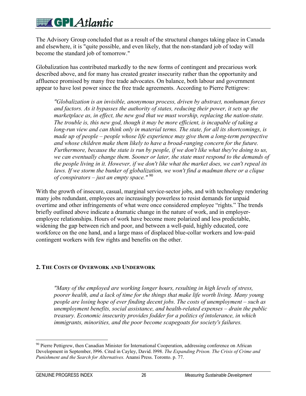# $\blacksquare$  GP  $\cal{A}$ tlantic

The Advisory Group concluded that as a result of the structural changes taking place in Canada and elsewhere, it is "quite possible, and even likely, that the non-standard job of today will become the standard job of tomorrow."

Globalization has contributed markedly to the new forms of contingent and precarious work described above, and for many has created greater insecurity rather than the opportunity and affluence promised by many free trade advocates. On balance, both labour and government appear to have lost power since the free trade agreements. According to Pierre Pettigrew:

*"Globalization is an invisible, anonymous process, driven by abstract, nonhuman forces and factors. As it bypasses the authority of states, reducing their power, it sets up the marketplace as, in effect, the new god that we must worship, replacing the nation-state. The trouble is, this new god, though it may be more efficient, is incapable of taking a long-run view and can think only in material terms. The state, for all its shortcomings, is made up of people – people whose life experience may give them a long-term perspective and whose children make them likely to have a broad-ranging concern for the future. Furthermore, because the state is run by people, if we don't like what they're doing to us, we can eventually change them. Sooner or later, the state must respond to the demands of the people living in it. However, if we don't like what the market does, we can't repeal its laws. If we storm the bunker of globalization, we won't find a madman there or a clique of conspirators – just an empty space."* <sup>90</sup>

With the growth of insecure, casual, marginal service-sector jobs, and with technology rendering many jobs redundant, employees are increasingly powerless to resist demands for unpaid overtime and other infringements of what were once considered employee "rights." The trends briefly outlined above indicate a dramatic change in the nature of work, and in employeremployee relationships. Hours of work have become more polarized and less predictable, widening the gap between rich and poor, and between a well-paid, highly educated, core workforce on the one hand, and a large mass of displaced blue-collar workers and low-paid contingent workers with few rights and benefits on the other.

### **2. THE COSTS OF OVERWORK AND UNDERWORK**

*"Many of the employed are working longer hours, resulting in high levels of stress, poorer health, and a lack of time for the things that make life worth living. Many young people are losing hope of ever finding decent jobs. The costs of unemployment – such as unemployment benefits, social assistance, and health-related expenses – drain the public treasury. Economic insecurity provides fodder for a politics of intolerance, in which immigrants, minorities, and the poor become scapegoats for society's failures.*

<sup>1</sup>  $90$  Pierre Pettigrew, then Canadian Minister for International Cooperation, addressing conference on African Development in September, l996. Cited in Cayley, David. l998. *The Expanding Prison. The Crisis of Crime and Punishment and the Search for Alternatives.* Anansi Press. Toronto. p. 77.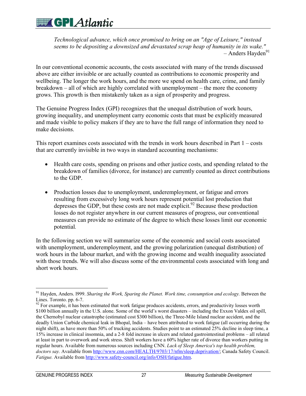*Technological advance, which once promised to bring on an "Age of Leisure," instead seems to be depositing a downsized and devastated scrap heap of humanity in its wake."*  $-$  Anders Hayden $91$ 

In our conventional economic accounts, the costs associated with many of the trends discussed above are either invisible or are actually counted as contributions to economic prosperity and wellbeing. The longer the work hours, and the more we spend on health care, crime, and family breakdown – all of which are highly correlated with unemployment – the more the economy grows. This growth is then mistakenly taken as a sign of prosperity and progress.

The Genuine Progress Index (GPI) recognizes that the unequal distribution of work hours, growing inequality, and unemployment carry economic costs that must be explicitly measured and made visible to policy makers if they are to have the full range of information they need to make decisions.

This report examines costs associated with the trends in work hours described in Part  $1 - \text{costs}$ that are currently invisible in two ways in standard accounting mechanisms:

- Health care costs, spending on prisons and other justice costs, and spending related to the breakdown of families (divorce, for instance) are currently counted as direct contributions to the GDP.
- Production losses due to unemployment, underemployment, or fatigue and errors resulting from excessively long work hours represent potential lost production that depresses the GDP, but these costs are not made explicit.<sup>92</sup> Because these production losses do not register anywhere in our current measures of progress, our conventional measures can provide no estimate of the degree to which these losses limit our economic potential*.*

In the following section we will summarize some of the economic and social costs associated with unemployment, underemployment, and the growing polarization (unequal distribution) of work hours in the labour market, and with the growing income and wealth inequality associated with those trends. We will also discuss some of the environmental costs associated with long and short work hours.

 $\overline{a}$ <sup>91</sup> Hayden, Anders. 1999. *Sharing the Work, Sparing the Planet. Work time, consumption and ecology*. Between the Lines. Toronto. pp. 6-7.

 $92$  For example, it has been estimated that work fatigue produces accidents, errors, and productivity losses worth \$100 billion annually in the U.S. alone. Some of the world's worst disasters – including the Exxon Valdex oil spill, the Chernobyl nuclear catastrophe (estimated cost \$300 billion), the Three-Mile Island nuclear accident, and the deadly Union Carbide chemical leak in Bhopal, India – have been attributed to work fatigue (all occurring during the night shift), as have more than 50% of trucking accidents. Studies point to an estimated 25% decline in sleep time, a 15% increase in clinical insomnia, and a 2-8 fold increase in ulcers and related gastrointestinal problems – all related at least in part to overwork and work stress. Shift workers have a 60% higher rate of divorce than workers putting in regular hours. Available from numerous sources including CNN. *Lack of Sleep America's top health problem, doctors say.* Available from http://www.cnn.com/HEALTH/9703/17/nfm/sleep.deprivation/; Canada Safety Council. *Fatigue.* Available from http://www.safety-council.org/info/OSH/fatigue.htm.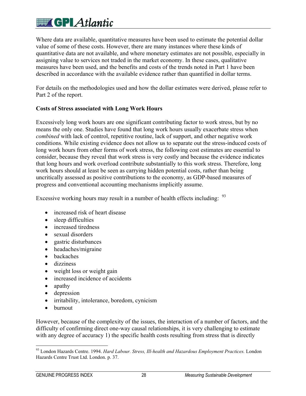Where data are available, quantitative measures have been used to estimate the potential dollar value of some of these costs. However, there are many instances where these kinds of quantitative data are not available, and where monetary estimates are not possible, especially in assigning value to services not traded in the market economy. In these cases, qualitative measures have been used, and the benefits and costs of the trends noted in Part 1 have been described in accordance with the available evidence rather than quantified in dollar terms.

For details on the methodologies used and how the dollar estimates were derived, please refer to Part 2 of the report.

### **Costs of Stress associated with Long Work Hours**

Excessively long work hours are one significant contributing factor to work stress, but by no means the only one. Studies have found that long work hours usually exacerbate stress when *combined* with lack of control, repetitive routine, lack of support, and other negative work conditions. While existing evidence does not allow us to separate out the stress-induced costs of long work hours from other forms of work stress, the following cost estimates are essential to consider, because they reveal that work stress is very costly and because the evidence indicates that long hours and work overload contribute substantially to this work stress. Therefore, long work hours should at least be seen as carrying hidden potential costs, rather than being uncritically assessed as positive contributions to the economy, as GDP-based measures of progress and conventional accounting mechanisms implicitly assume.

Excessive working hours may result in a number of health effects including: <sup>93</sup>

- increased risk of heart disease
- sleep difficulties
- increased tiredness
- sexual disorders
- gastric disturbances
- headaches/migraine
- backaches
- dizziness
- weight loss or weight gain
- increased incidence of accidents
- apathy
- depression
- irritability, intolerance, boredom, cynicism
- burnout

However, because of the complexity of the issues, the interaction of a number of factors, and the difficulty of confirming direct one-way causal relationships, it is very challenging to estimate with any degree of accuracy 1) the specific health costs resulting from stress that is directly

 $\overline{a}$ 93 London Hazards Centre. 1994. *Hard Labour. Stress, Ill-health and Hazardous Employment Practices.* London Hazards Centre Trust Ltd. London. p. 37.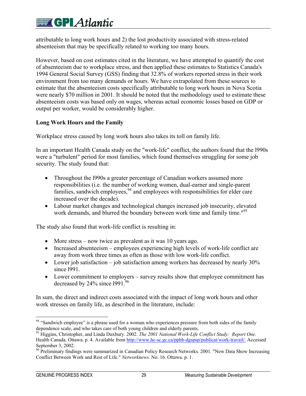attributable to long work hours and 2) the lost productivity associated with stress-related absenteeism that may be specifically related to working too many hours.

However, based on cost estimates cited in the literature, we have attempted to quantify the cost of absenteeism due to workplace stress, and then applied these estimates to Statistics Canada's 1994 General Social Survey (GSS) finding that 32.8% of workers reported stress in their work environment from too many demands or hours. We have extrapolated from these sources to estimate that the absenteeism costs specifically attributable to long work hours in Nova Scotia were nearly \$70 million in 2001. It should be noted that the methodology used to estimate these absenteeism costs was based only on wages, whereas actual economic losses based on GDP or output per worker, would be considerably higher.

### **Long Work Hours and the Family**

Workplace stress caused by long work hours also takes its toll on family life.

In an important Health Canada study on the "work-life" conflict, the authors found that the l990s were a "turbulent" period for most families, which found themselves struggling for some job security. The study found that:

- Throughout the l990s a greater percentage of Canadian workers assumed more responsibilities (i.e. the number of working women, dual-earner and single-parent families, sandwich employees,  $94$  and employees with responsibilities for elder care increased over the decade).
- Labour market changes and technological changes increased job insecurity, elevated work demands, and blurred the boundary between work time and family time."<sup>95</sup>

The study also found that work-life conflict is resulting in:

- More stress now twice as prevalent as it was 10 years ago.
- Increased absenteeism employees experiencing high levels of work-life conflict are away from work three times as often as those with low work-life conflict.
- Lower job satisfaction job satisfaction among workers has decreased by nearly 30% since l991.
- Lower commitment to employers survey results show that employee commitment has decreased by  $24\%$  since 1991.<sup>96</sup>

In sum, the direct and indirect costs associated with the impact of long work hours and other work stresses on family life, as described in the literature, include:

 $\overline{a}$ <sup>94</sup> "Sandwich employee" is a phrase used for a woman who experiences pressure from both sides of the family dependence scale, and who takes care of both young children and elderly parents.

<sup>95</sup> Higgins, Christopher, and Linda Duxbury. 2002. *The 2001 National Work-Life Conflict Study: Report One.* Health Canada. Ottawa. p. 4. Available from http://www.hc-sc.gc.ca/pphb-dgspsp/publicat/work-travail/. Accessed September 3, 2002.

<sup>&</sup>lt;sup>96</sup> Preliminary findings were summarized in Canadian Policy Research Networks. 2001. "New Data Show Increasing Conflict Between Work and Rest of Life." *Networknews.* No. 16. Ottawa. p. 1.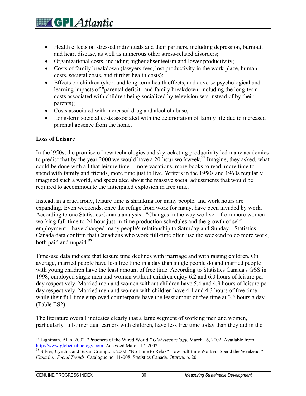- Health effects on stressed individuals and their partners, including depression, burnout, and heart disease, as well as numerous other stress-related disorders;
- Organizational costs, including higher absenteeism and lower productivity;
- Costs of family breakdown (lawyers fees, lost productivity in the work place, human costs, societal costs, and further health costs);
- Effects on children (short and long-term health effects, and adverse psychological and learning impacts of "parental deficit" and family breakdown, including the long-term costs associated with children being socialized by television sets instead of by their parents);
- Costs associated with increased drug and alcohol abuse;
- Long-term societal costs associated with the deterioration of family life due to increased parental absence from the home.

### **Loss of Leisure**

In the l950s, the promise of new technologies and skyrocketing productivity led many academics to predict that by the year 2000 we would have a 20-hour workweek.<sup>97</sup> Imagine, they asked, what could be done with all that leisure time – more vacations, more books to read, more time to spend with family and friends, more time just to live. Writers in the 1950s and 1960s regularly imagined such a world, and speculated about the massive social adjustments that would be required to accommodate the anticipated explosion in free time.

Instead, in a cruel irony, leisure time is shrinking for many people, and work hours are expanding. Even weekends, once the refuge from work for many, have been invaded by work. According to one Statistics Canada analysis: "Changes in the way we live – from more women working full-time to 24-hour just-in-time production schedules and the growth of selfemployment – have changed many people's relationship to Saturday and Sunday." Statistics Canada data confirm that Canadians who work full-time often use the weekend to do more work, both paid and unpaid. $98$ 

Time-use data indicate that leisure time declines with marriage and with raising children. On average, married people have less free time in a day than single people do and married people with young children have the least amount of free time. According to Statistics Canada's GSS in 1998, employed single men and women without children enjoy 6.2 and 6.0 hours of leisure per day respectively. Married men and women without children have 5.4 and 4.9 hours of leisure per day respectively. Married men and women with children have 4.4 and 4.3 hours of free time while their full-time employed counterparts have the least amout of free time at 3.6 hours a day (Table ES2).

The literature overall indicates clearly that a large segment of working men and women, particularly full-timer dual earners with children, have less free time today than they did in the

<sup>&</sup>lt;sup>97</sup> Lightman, Alan. 2002. "Prisoners of the Wired World." *Globetechnology*. March 16, 2002. Available from http://www.globetechnology.com. Accessed March 17, 2002.

http://www.globetechnology.com. Accessed March 17, 2002. "No Time to Relax? How Full-time Workers Spend the Weekend." *Canadian Social Trends.* Catalogue no. 11-008. Statistics Canada. Ottawa. p. 20.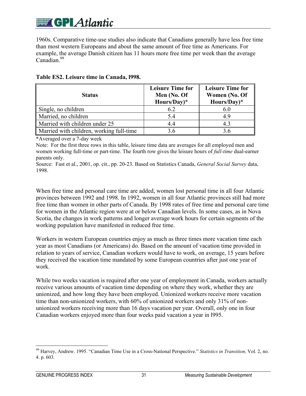1960s. Comparative time-use studies also indicate that Canadians generally have less free time than most western Europeans and about the same amount of free time as Americans. For example, the average Danish citizen has 11 hours more free time per week than the average Canadian<sup>99</sup>

| <b>Status</b>                            | <b>Leisure Time for</b><br>Men (No. Of<br>Hours/Day)* | <b>Leisure Time for</b><br>Women (No. Of<br>Hours/Day)* |
|------------------------------------------|-------------------------------------------------------|---------------------------------------------------------|
| Single, no children                      | 6.2                                                   | 6.0                                                     |
| Married, no children                     | 5.4                                                   | 49                                                      |
| Married with children under 25           | 4.4                                                   | 43                                                      |
| Married with children, working full-time | 36                                                    |                                                         |

|  |  | Table ES2. Leisure time in Canada, 1998. |  |  |  |
|--|--|------------------------------------------|--|--|--|
|--|--|------------------------------------------|--|--|--|

\*Averaged over a 7-day week

Note: For the first three rows in this table, leisure time data are averages for all employed men and women working full-time or part-time. The fourth row gives the leisure hours of *full-time* dual-earner parents only.

Source: Fast et al., 2001, op. cit., pp. 20-23. Based on Statistics Canada, *General Social Survey* data, 1998.

When free time and personal care time are added, women lost personal time in all four Atlantic provinces between 1992 and 1998. In 1992, women in all four Atlantic provinces still had more free time than women in other parts of Canada. By 1998 rates of free time and personal care time for women in the Atlantic region were at or below Canadian levels. In some cases, as in Nova Scotia, the changes in work patterns and longer average work hours for certain segments of the working population have manifested in reduced free time.

Workers in western European countries enjoy as much as three times more vacation time each year as most Canadians (or Americans) do. Based on the amount of vacation time provided in relation to years of service, Canadian workers would have to work, on average, 15 years before they received the vacation time mandated by some European countries after just one year of work.

While two weeks vacation is required after one year of employment in Canada, workers actually receive various amounts of vacation time depending on where they work, whether they are unionized, and how long they have been employed. Unionized workers receive more vacation time than non-unionized workers, with 60% of unionized workers and only 31% of nonunionized workers receiving more than 16 days vacation per year. Overall, only one in four Canadian workers enjoyed more than four weeks paid vacation a year in l995.

<sup>99</sup> Harvey, Andrew. 1995. "Canadian Time Use in a Cross-National Perspective." *Statistics in Transition,* Vol. 2, no. 4. p. 603.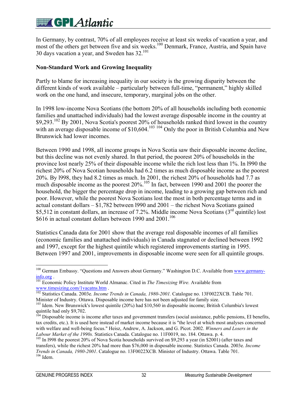### $\blacksquare$  GP  $\cal{A}$ tlantic

In Germany, by contrast, 70% of all employees receive at least six weeks of vacation a year, and most of the others get between five and six weeks.100 Denmark, France, Austria, and Spain have 30 days vacation a year, and Sweden has 32.101

#### **Non-Standard Work and Growing Inequality**

Partly to blame for increasing inequality in our society is the growing disparity between the different kinds of work available – particularly between full-time, "permanent," highly skilled work on the one hand, and insecure, temporary, marginal jobs on the other.

In 1998 low-income Nova Scotians (the bottom 20% of all households including both economic families and unattached individuals) had the lowest average disposable income in the country at \$9,293.<sup>102</sup> By 2001, Nova Scotia's poorest 20% of households ranked third lowest in the country with an average disposable income of  $$10,604$ .<sup>103 104</sup> Only the poor in British Columbia and New Brunswick had lower incomes.

Between 1990 and 1998, all income groups in Nova Scotia saw their disposable income decline, but this decline was not evenly shared. In that period, the poorest 20% of households in the province lost nearly 25% of their disposable income while the rich lost less than 1%. In l990 the richest 20% of Nova Scotian households had 6.2 times as much disposable income as the poorest 20%. By l998, they had 8.2 times as much. In 2001, the richest 20% of households had 7.7 as much disposable income as the poorest 20%.<sup>105</sup> In fact, between 1990 and 2001 the poorer the household, the bigger the percentage drop in income, leading to a growing gap between rich and poor. However, while the poorest Nova Scotians lost the most in both percentage terms and in actual constant dollars – \$1,782 between l990 and 2001 – the richest Nova Scotians gained \$5,512 in constant dollars, an increase of 7.2%. Middle income Nova Scotians (3<sup>rd</sup> quintile) lost \$616 in actual constant dollars between 1990 and  $2001$ .<sup>106</sup>

Statistics Canada data for 2001 show that the average real disposable incomes of all families (economic families and unattached individuals) in Canada stagnated or declined between 1992 and 1997, except for the highest quintile which registered improvements starting in 1995. Between 1997 and 2001, improvements in disposable income were seen for all quintile groups.

 $\overline{a}$ <sup>100</sup> German Embassy. "Questions and Answers about Germany." Washington D.C. Available from www.germany-

info.org . 101 Economic Policy Institute World Almanac. Cited in *The Timesizing Wire.* Available from

www.timesizing.com/1vacatns.htm . 102 Statistics Canada. 2003e. *Income Trends in Canada, 1980-2001.* Catalogue no. 13F0022XCB. Table 701.

Minister of Industry. Ottawa. Disposable income here has not been adjusted for family size.

<sup>&</sup>lt;sup>103</sup> Idem. New Brunswick's lowest quintile (20%) had \$10,560 in disposable income; British Columbia's lowest quintile had only \$9,702.

<sup>&</sup>lt;sup>104</sup> Disposable income is income after taxes and government transfers (social assistance, public pensions, EI benefits, tax credits, etc.). It is used here instead of market income because it is "the level at which most analyses concerned with welfare and well-being focus." Heisz, Andrew, A. Jackson, and G. Picot. 2002. *Winners and Losers in the Labour Market of the 1990s.* Statistics Canada. Catalogue no. 11F0019, no. 184. Ottawa. p. 4. <sup>105</sup> In 1998 the poorest 20% of Nova Scotia households survived on \$9,293 a year (in \$2001) (after taxes and

transfers), while the richest 20% had more than \$76,000 in disposable income. Statistics Canada. 2003e. *Income Trends in Canada, 1980-2001*. Catalogue no. 13F0022XCB. Minister of Industry. Ottawa. Table 701. 106 Idem.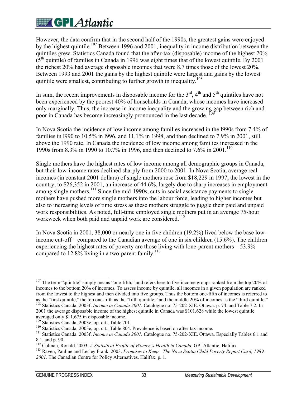However, the data confirm that in the second half of the 1990s, the greatest gains were enjoyed by the highest quintile.<sup>107</sup> Between 1996 and 2001, inequality in income distribution between the quintiles grew. Statistics Canada found that the after-tax (disposable) income of the highest 20%  $(5<sup>th</sup>$  quintile) of families in Canada in 1996 was eight times that of the lowest quintile. By 2001 the richest 20% had average disposable incomes that were 8.7 times those of the lowest 20%. Between 1993 and 2001 the gains by the highest quintile were largest and gains by the lowest quintile were smallest, contributing to further growth in inequality.<sup>108</sup>

In sum, the recent improvements in disposable income for the  $3<sup>rd</sup>$ ,  $4<sup>th</sup>$  and  $5<sup>th</sup>$  quintiles have not been experienced by the poorest 40% of households in Canada, whose incomes have increased only marginally. Thus, the increase in income inequality and the growing gap between rich and poor in Canada has become increasingly pronounced in the last decade. <sup>10</sup>

In Nova Scotia the incidence of low income among families increased in the l990s from 7.4% of families in l990 to 10.5% in l996, and 11.1% in 1998, and then declined to 7.9% in 2001, still above the 1990 rate. In Canada the incidence of low income among families increased in the 1990s from 8.3% in 1990 to 10.7% in 1996, and then declined to 7.6% in 2001.<sup>110</sup>

Single mothers have the highest rates of low income among all demographic groups in Canada, but their low-income rates declined sharply from 2000 to 2001. In Nova Scotia, average real incomes (in constant 2001 dollars) of single mothers rose from \$18,229 in 1997, the lowest in the country, to \$26,352 in 2001, an increase of 44.6%, largely due to sharp increases in employment among single mothers.<sup>111</sup> Since the mid-1990s, cuts in social assistance payments to single mothers have pushed more single mothers into the labour force, leading to higher incomes but also to increasing levels of time stress as these mothers struggle to juggle their paid and unpaid work responsibilities. As noted, full-time employed single mothers put in an average 75-hour workweek when both paid and unpaid work are considered.<sup>112</sup>

In Nova Scotia in 2001, 38,000 or nearly one in five children (19.2%) lived below the base lowincome cut-off – compared to the Canadian average of one in six children (15.6%). The children experiencing the highest rates of poverty are those living with lone-parent mothers – 53.9% compared to 12.8% living in a two-parent family.<sup>113</sup>

<sup>&</sup>lt;sup>107</sup> The term "quintile" simply means "one-fifth," and refers here to five income groups ranked from the top 20% of incomes to the bottom 20% of incomes. To assess income by quintile, all incomes in a given population are ranked from the lowest to the highest and then divided into five groups. Thus the bottom one-fifth of incomes is referred to as the "first quintile," the top one-fifth as the "fifth quintile," and the middle 20% of incomes as the "third quintile." 108 Statistics Canada. 2003f. *Income in Canada 2001.* Catalogue no. 75-202-XIE. Ottawa. p. 74. and Table 7.2. In

<sup>2001</sup> the average disposable income of the highest quintile in Canada was \$101,628 while the lowest quintile averaged only \$11,675 in disposable income.<br><sup>109</sup> Statistics Canada, 2003e, op. cit., Table 701.

<sup>&</sup>lt;sup>110</sup> Statistics Canada, 2003e, op. cit., Table 804. Prevalence is based on after-tax income.<br><sup>111</sup> Statistics Canada. 2003f. *Income in Canada 2001*. Catalogue no. 75-202-XIE. Ottawa. Especially Tables 6.1 and 8.1, and p. 90.<br><sup>112</sup> Colman, Ronald. 2003. *A Statistical Profile of Women's Health in Canada*. GPI Atlantic. Halifax.

<sup>&</sup>lt;sup>113</sup> Raven, Pauline and Lesley Frank. 2003. *Promises to Keep: The Nova Scotia Child Poverty Report Card, 1989-2001.* The Canadian Centre for Policy Alternatives. Halifax. p. 1.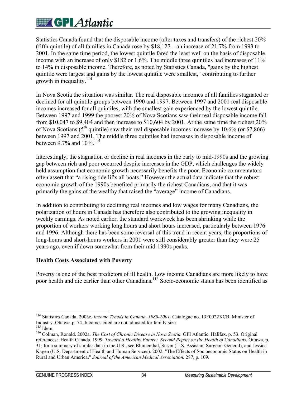### **EX GPI** Atlantic

Statistics Canada found that the disposable income (after taxes and transfers) of the richest 20% (fifth quintile) of all families in Canada rose by \$18,127 – an increase of 21.7% from 1993 to 2001. In the same time period, the lowest quintile fared the least well on the basis of disposable income with an increase of only \$182 or 1.6%. The middle three quintiles had increases of 11% to 14% in disposable income. Therefore, as noted by Statistics Canada, "gains by the highest quintile were largest and gains by the lowest quintile were smallest," contributing to further growth in inequality.<sup>114</sup>

In Nova Scotia the situation was similar. The real disposable incomes of all families stagnated or declined for all quintile groups between 1990 and 1997. Between 1997 and 2001 real disposable incomes increased for all quintiles, with the smallest gain experienced by the lowest quintile. Between 1997 and 1999 the poorest 20% of Nova Scotians saw their real disposable income fall from \$10,047 to \$9,404 and then increase to \$10,604 by 2001. At the same time the richest 20% of Nova Scotians ( $5<sup>th</sup>$  quintile) saw their real disposable incomes increase by 10.6% (or \$7,866) between 1997 and 2001. The middle three quintiles had increases in disposable income of between 9.7% and 10%.<sup>115</sup>

Interestingly, the stagnation or decline in real incomes in the early to mid-1990s and the growing gap between rich and poor occurred despite increases in the GDP, which challenges the widely held assumption that economic growth necessarily benefits the poor. Economic commentators often assert that "a rising tide lifts all boats." However the actual data indicate that the robust economic growth of the 1990s benefited primarily the richest Canadians, and that it was primarily the gains of the wealthy that raised the "average" income of Canadians.

In addition to contributing to declining real incomes and low wages for many Canadians, the polarization of hours in Canada has therefore also contributed to the growing inequality in weekly earnings. As noted earlier, the standard workweek has been shrinking while the proportion of workers working long hours and short hours increased, particularly between 1976 and 1996. Although there has been some reversal of this trend in recent years, the proportions of long-hours and short-hours workers in 2001 were still considerably greater than they were 25 years ago, even if down somewhat from their mid-1990s peaks.

#### **Health Costs Associated with Poverty**

Poverty is one of the best predictors of ill health. Low income Canadians are more likely to have poor health and die earlier than other Canadians.<sup>116</sup> Socio-economic status has been identified as

<sup>&</sup>lt;sup>114</sup> Statistics Canada. 2003e. *Income Trends in Canada, 1980-2001*. Catalogue no. 13F0022XCB. Minister of Industry. Ottawa. p. 74. Incomes cited are not adjusted for family size.

I<sup>115</sup> Idem.<br><sup>116</sup> Colman, Ronald. 2002a. *The Cost of Chronic Disease in Nova Scotia*. GPI Atlantic. Halifax. p. 53. Original references: Health Canada. 1999. *Toward a Healthy Future: Second Report on the Health of Canadians*. Ottawa, p. 31; for a summary of similar data in the U.S., see Blumenthal, Susan (U.S. Assistant Surgeon-General), and Jessica Kagen (U.S. Department of Health and Human Services). 2002. "The Effects of Socioeconomic Status on Health in Rural and Urban America." *Journal of the American Medical Association.* 287, p. 109.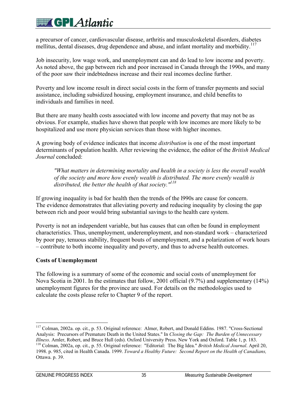# **Except** Atlantic

a precursor of cancer, cardiovascular disease, arthritis and musculoskeletal disorders, diabetes mellitus, dental diseases, drug dependence and abuse, and infant mortality and morbidity.<sup>117</sup>

Job insecurity, low wage work, and unemployment can and do lead to low income and poverty. As noted above, the gap between rich and poor increased in Canada through the 1990s, and many of the poor saw their indebtedness increase and their real incomes decline further.

Poverty and low income result in direct social costs in the form of transfer payments and social assistance, including subsidized housing, employment insurance, and child benefits to individuals and families in need.

But there are many health costs associated with low income and poverty that may not be as obvious. For example, studies have shown that people with low incomes are more likely to be hospitalized and use more physician services than those with higher incomes.

A growing body of evidence indicates that income *distribution* is one of the most important determinants of population health. After reviewing the evidence, the editor of the *British Medical Journal* concluded:

*"What matters in determining mortality and health in a society is less the overall wealth of the society and more how evenly wealth is distributed. The more evenly wealth is distributed, the better the health of that society."118*

If growing inequality is bad for health then the trends of the l990s are cause for concern. The evidence demonstrates that alleviating poverty and reducing inequality by closing the gap between rich and poor would bring substantial savings to the health care system.

Poverty is not an independent variable, but has causes that can often be found in employment characteristics. Thus, unemployment, underemployment, and non-standard work – characterized by poor pay, tenuous stability, frequent bouts of unemployment, and a polarization of work hours – contribute to both income inequality and poverty, and thus to adverse health outcomes.

#### **Costs of Unemployment**

The following is a summary of some of the economic and social costs of unemployment for Nova Scotia in 2001. In the estimates that follow, 2001 official (9.7%) and supplementary (14%) unemployment figures for the province are used. For details on the methodologies used to calculate the costs please refer to Chapter 9 of the report.

<sup>117</sup> Colman, 2002a. op. cit., p. 53. Original reference: Almer, Robert, and Donald Eddins. 1987. "Cross-Sectional Analysis: Precursors of Premature Death in the United States." In *Closing the Gap: The Burden of Unnecessary* <sup>118</sup> Colman, 2002a, op. cit., p. 55. Original reference: "Editorial: The Big Idea." British Medical Journal. April 20, 1998. p. 985, cited in Health Canada. 1999. *Toward a Healthy Future: Second Report on the Health of Canadians,* Ottawa. p. 39.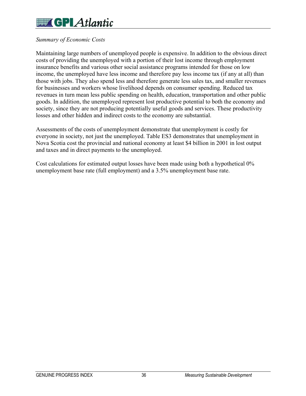# $\mathbb{Z}$  GP Atlantic

### *Summary of Economic Costs*

Maintaining large numbers of unemployed people is expensive. In addition to the obvious direct costs of providing the unemployed with a portion of their lost income through employment insurance benefits and various other social assistance programs intended for those on low income, the unemployed have less income and therefore pay less income tax (if any at all) than those with jobs. They also spend less and therefore generate less sales tax, and smaller revenues for businesses and workers whose livelihood depends on consumer spending. Reduced tax revenues in turn mean less public spending on health, education, transportation and other public goods. In addition, the unemployed represent lost productive potential to both the economy and society, since they are not producing potentially useful goods and services. These productivity losses and other hidden and indirect costs to the economy are substantial.

Assessments of the costs of unemployment demonstrate that unemployment is costly for everyone in society, not just the unemployed. Table ES3 demonstrates that unemployment in Nova Scotia cost the provincial and national economy at least \$4 billion in 2001 in lost output and taxes and in direct payments to the unemployed.

Cost calculations for estimated output losses have been made using both a hypothetical 0% unemployment base rate (full employment) and a 3.5% unemployment base rate.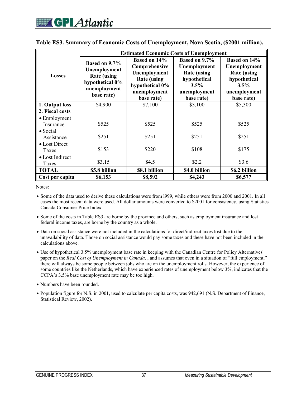|                                                                                                                                                     | <b>Estimated Economic Costs of Unemployment</b>                                                      |                                                                                                                             |                                                                                                           |                                                                                                                 |
|-----------------------------------------------------------------------------------------------------------------------------------------------------|------------------------------------------------------------------------------------------------------|-----------------------------------------------------------------------------------------------------------------------------|-----------------------------------------------------------------------------------------------------------|-----------------------------------------------------------------------------------------------------------------|
| <b>Losses</b>                                                                                                                                       | Based on 9.7%<br>Unemployment<br><b>Rate (using</b><br>hypothetical 0%<br>unemployment<br>base rate) | <b>Based on 14%</b><br>Comprehensive<br>Unemployment<br><b>Rate (using</b><br>hypothetical 0%<br>unemployment<br>base rate) | Based on 9.7%<br>Unemployment<br><b>Rate (using</b><br>hypothetical<br>3.5%<br>unemployment<br>base rate) | <b>Based on 14%</b><br>Unemployment<br><b>Rate (using</b><br>hypothetical<br>3.5%<br>unemployment<br>base rate) |
| 1. Output loss                                                                                                                                      | \$4,900                                                                                              | \$7,100                                                                                                                     | \$3,100                                                                                                   | \$5,300                                                                                                         |
| 2. Fiscal costs<br>• Employment<br>Insurance<br>$\bullet$ Social<br>Assistance<br>$\bullet$ Lost Direct<br><b>Taxes</b><br>• Lost Indirect<br>Taxes | \$525<br>\$251<br>\$153<br>\$3.15                                                                    | \$525<br>\$251<br>\$220<br>\$4.5                                                                                            | \$525<br>\$251<br>\$108<br>\$2.2                                                                          | \$525<br>\$251<br>\$175<br>\$3.6                                                                                |
| <b>TOTAL</b>                                                                                                                                        | \$5.8 billion                                                                                        | \$8.1 billion                                                                                                               | \$4.0 billion                                                                                             | \$6.2 billion                                                                                                   |
| Cost per capita                                                                                                                                     | \$6,153                                                                                              | \$8,592                                                                                                                     | \$4,243                                                                                                   | \$6,577                                                                                                         |

#### **Table ES3. Summary of Economic Costs of Unemployment, Nova Scotia, (\$2001 million).**

Notes:

- Some of the data used to derive these calculations were from l999, while others were from 2000 and 2001. In all cases the most recent data were used. All dollar amounts were converted to \$2001 for consistency, using Statistics Canada Consumer Price Index.
- Some of the costs in Table ES3 are borne by the province and others, such as employment insurance and lost federal income taxes, are borne by the country as a whole.
- Data on social assistance were not included in the calculations for direct/indirect taxes lost due to the unavailability of data. Those on social assistance would pay some taxes and these have not been included in the calculations above.
- Use of hypothetical 3.5% unemployment base rate in keeping with the Canadian Centre for Policy Alternatives' paper on the *Real Cost of Unemployment in Canada*, , and assumes that even in a situation of "full employment," there will always be some people between jobs who are on the unemployment rolls. However, the experience of some countries like the Netherlands, which have experienced rates of unemployment below 3%, indicates that the CCPA's 3.5% base unemployment rate may be too high.
- Numbers have been rounded.
- Population figure for N.S. in 2001, used to calculate per capita costs, was 942,691 (N.S. Department of Finance, Statistical Review, 2002).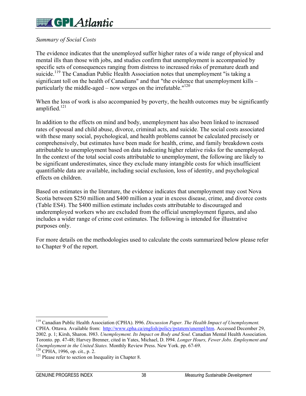### $\mathbb{Z}$  GP Atlantic

### *Summary of Social Costs*

The evidence indicates that the unemployed suffer higher rates of a wide range of physical and mental ills than those with jobs, and studies confirm that unemployment is accompanied by specific sets of consequences ranging from distress to increased risks of premature death and suicide.<sup>119</sup> The Canadian Public Health Association notes that unemployment "is taking a significant toll on the health of Canadians" and that "the evidence that unemployment kills – particularly the middle-aged – now verges on the irrefutable." $120$ 

When the loss of work is also accompanied by poverty, the health outcomes may be significantly amplified.<sup>121</sup>

In addition to the effects on mind and body, unemployment has also been linked to increased rates of spousal and child abuse, divorce, criminal acts, and suicide. The social costs associated with these many social, psychological, and health problems cannot be calculated precisely or comprehensively, but estimates have been made for health, crime, and family breakdown costs attributable to unemployment based on data indicating higher relative risks for the unemployed. In the context of the total social costs attributable to unemployment, the following are likely to be significant underestimates, since they exclude many intangible costs for which insufficient quantifiable data are available, including social exclusion, loss of identity, and psychological effects on children.

Based on estimates in the literature, the evidence indicates that unemployment may cost Nova Scotia between \$250 million and \$400 million a year in excess disease, crime, and divorce costs (Table ES4). The \$400 million estimate includes costs attributable to discouraged and underemployed workers who are excluded from the official unemployment figures, and also includes a wider range of crime cost estimates. The following is intended for illustrative purposes only.

For more details on the methodologies used to calculate the costs summarized below please refer to Chapter 9 of the report.

<sup>119</sup> Canadian Public Health Association (CPHA). l996. *Discussion Paper. The Health Impact of Unemployment.* CPHA. Ottawa*.* Available from: http://www.cpha.ca/english/policy/pstatem/unempl/htm. Accessed December 29, 2002. p. 1; Kirsh, Sharon. l983. *Unemployment. Its Impact on Body and Soul.* Canadian Mental Health Association. Toronto. pp. 47-48; Harvey Brenner, cited in Yates, Michael, D. l994. *Longer Hours, Fewer Jobs. Employment and Unemployment in the United States.* Monthly Review Press. New York. pp. 67-69.<br><sup>120</sup> CPHA, 1996, op. cit., p. 2.<br><sup>121</sup> Please refer to section on Inequality in Chapter 8.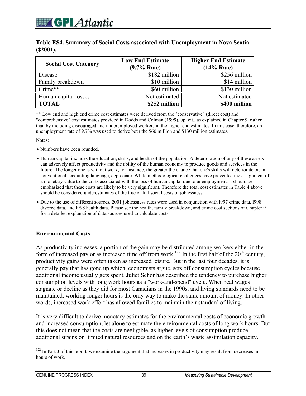#### **Table ES4. Summary of Social Costs associated with Unemployment in Nova Scotia (\$2001).**

| <b>Social Cost Category</b> | <b>Low End Estimate</b><br>$(9.7\%$ Rate) | <b>Higher End Estimate</b><br>(14% Rate) |
|-----------------------------|-------------------------------------------|------------------------------------------|
| Disease                     | \$182 million                             | $$256$ million                           |
| Family breakdown            | \$10 million                              | \$14 million                             |
| $\mathsf{C}$ rime**         | \$60 million                              | $$130$ million                           |
| Human capital losses        | Not estimated                             | Not estimated                            |
| TOTAL                       | \$252 million                             | \$400 million                            |

**\*\*** Low end and high end crime cost estimates were derived from the "conservative" (direct cost) and "comprehensive" cost estimates provided in Dodds and Colman (1999), op. cit., as explained in Chapter 9, rather than by including discouraged and underemployed workers in the higher end estimates. In this case, therefore, an unemployment rate of 9.7% was used to derive both the \$60 million and \$130 million estimates.

Notes:

- Numbers have been rounded.
- Human capital includes the education, skills, and health of the population. A deterioration of any of these assets can adversely affect productivity and the ability of the human economy to produce goods and services in the future. The longer one is without work, for instance, the greater the chance that one's skills will deteriorate or, in conventional accounting language, depreciate. While methodological challenges have prevented the assignment of a monetary value to the costs associated with the loss of human capital due to unemployment, it should be emphasized that these costs are likely to be very significant. Therefore the total cost estimates in Table 4 above should be considered underestimates of the true or full social costs of joblessness.
- Due to the use of different sources, 2001 joblessness rates were used in conjunction with l997 crime data, l998 divorce data, and l998 health data. Please see the health, family breakdown, and crime cost sections of Chapter 9 for a detailed explanation of data sources used to calculate costs.

#### **Environmental Costs**

As productivity increases, a portion of the gain may be distributed among workers either in the form of increased pay or as increased time off from work.<sup>122</sup> In the first half of the  $20<sup>th</sup>$  century, productivity gains were often taken as increased leisure. But in the last four decades, it is generally pay that has gone up which, economists argue, sets off consumption cycles because additional income usually gets spent. Juliet Schor has described the tendency to purchase higher consumption levels with long work hours as a "work-and-spend" cycle. When real wages stagnate or decline as they did for most Canadians in the 1990s, and living standards need to be maintained, working longer hours is the only way to make the same amount of money. In other words, increased work effort has allowed families to maintain their standard of living.

It is very difficult to derive monetary estimates for the environmental costs of economic growth and increased consumption, let alone to estimate the environmental costs of long work hours. But this does not mean that the costs are negligible, as higher levels of consumption produce additional strains on limited natural resources and on the earth's waste assimilation capacity.

 $122$  In Part 3 of this report, we examine the argument that increases in productivity may result from decreases in hours of work.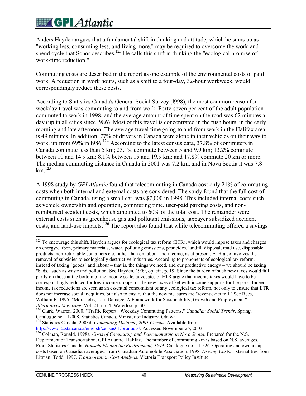Anders Hayden argues that a fundamental shift in thinking and attitude, which he sums up as "working less, consuming less, and living more," may be required to overcome the work-andspend cycle that Schor describes.<sup>123</sup> He calls this shift in thinking the "ecological promise of work-time reduction."

Commuting costs are described in the report as one example of the environmental costs of paid work. A reduction in work hours, such as a shift to a four-day, 32-hour workweek, would correspondingly reduce these costs.

According to Statistics Canada's General Social Survey (l998), the most common reason for weekday travel was commuting to and from work. Forty-seven per cent of the adult population commuted to work in 1998, and the average amount of time spent on the road was 62 minutes a day (up in all cities since l986). Most of this travel is concentrated in the rush hours, in the early morning and late afternoon. The average travel time going to and from work in the Halifax area is 49 minutes. In addition, 77% of drivers in Canada were alone in their vehicles on their way to work, up from 69% in 1986.<sup>124</sup> According to the latest census data, 37.8% of commuters in Canada commute less than 5 km; 23.1% commute between 5 and 9.9 km; 13.2% commute between 10 and 14.9 km; 8.1% between 15 and 19.9 km; and 17.8% commute 20 km or more. The median commuting distance in Canada in 2001 was 7.2 km, and in Nova Scotia it was 7.8  $km$ <sup>125</sup>

A 1998 study by *GPI Atlantic* found that telecommuting in Canada cost only 21% of commuting costs when both internal and external costs are considered. The study found that the full cost of commuting in Canada, using a small car, was \$7,000 in 1998. This included internal costs such as vehicle ownership and operation, commuting time, user-paid parking costs, and nonreimbursed accident costs, which amounted to 60% of the total cost. The remainder were external costs such as greenhouse gas and pollutant emissions, taxpayer subsidized accident costs, and land-use impacts.126 The report also found that while telecommuting offered a savings

<sup>125</sup> Statistics Canada. 2003d. *Commuting Distance, 2001 Census*. Available from http://www12.statcan.ca/english/census01/products/. Accessed November 25, 2003.

 $\overline{a}$ <sup>123</sup> To encourage this shift, Hayden argues for ecological tax reform (ETR), which would impose taxes and charges on energy/carbon, primary materials, water, polluting emissions, pesticides, landfill disposal, road use, disposable products, non-returnable containers etc. rather than on labour and income, as at present. ETR also involves the removal of subsidies to ecologically destructive industries. According to proponents of ecological tax reform, instead of taxing "goods" and labour – that is, the things we need, and our productive energy – we should be taxing "bads," such as waste and pollution. See Hayden, 1999, op. cit., p. 19. Since the burden of such new taxes would fall partly on those at the bottom of the income scale, advocates of ETR argue that income taxes would have to be correspondingly reduced for low-income groups, or the new taxes offset with income supports for the poor. Indeed income tax reductions are seen as an essential concomitant of any ecological tax reform, not only to ensure that ETR does not increase social inequities, but also to ensure that the new measures are "revenue-neutral." See Rees, William E. 1995. "More Jobs, Less Damage. A Framework for Sustainability, Growth and Employment." *Alternatives Magazine.* Vol. 21, no. 4. Waterloo. p. 30. 124 Clark, Warren. 2000. "Traffic Report: Weekday Commuting Patterns." *Canadian Social Trends*. Spring.

Catalogue no. 11-008. Statistics Canada. Minister of Industry. Ottawa.

<sup>&</sup>lt;sup>126</sup> Colman, Ronald. 1998a. *Costs of Commuting and Telecommuting in Nova Scotia*. Prepared for the N.S. Department of Transportation. GPI Atlantic. Halifax. The number of commuting km is based on N.S. averages. From Statistics Canada. *Households and the Environment, 1994.* Catalogue no. 11-526. Operating and ownership costs based on Canadian averages. From Canadian Automobile Association. 1998. *Driving Costs.* Externalities from Litman, Todd. 1997. *Transportation Cost Analysis.* Victoria Transport Policy Institute.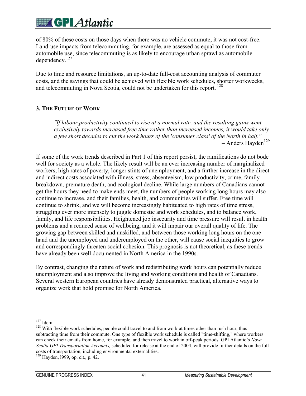of 80% of these costs on those days when there was no vehicle commute, it was not cost-free. Land-use impacts from telecommuting, for example, are assessed as equal to those from automobile use, since telecommuting is as likely to encourage urban sprawl as automobile dependency.127

Due to time and resource limitations, an up-to-date full-cost accounting analysis of commuter costs, and the savings that could be achieved with flexible work schedules, shorter workweeks, and telecommuting in Nova Scotia, could not be undertaken for this report.<sup>128</sup>

### **3. THE FUTURE OF WORK**

*"If labour productivity continued to rise at a normal rate, and the resulting gains went exclusively towards increased free time rather than increased incomes, it would take only a few short decades to cut the work hours of the 'consumer class' of the North in half."*  $-$  Anders Hayden<sup>129</sup>

If some of the work trends described in Part 1 of this report persist, the ramifications do not bode well for society as a whole. The likely result will be an ever increasing number of marginalized workers, high rates of poverty, longer stints of unemployment, and a further increase in the direct and indirect costs associated with illness, stress, absenteeism, low productivity, crime, family breakdown, premature death, and ecological decline. While large numbers of Canadians cannot get the hours they need to make ends meet, the numbers of people working long hours may also continue to increase, and their families, health, and communities will suffer. Free time will continue to shrink, and we will become increasingly habituated to high rates of time stress, struggling ever more intensely to juggle domestic and work schedules, and to balance work, family, and life responsibilities. Heightened job insecurity and time pressure will result in health problems and a reduced sense of wellbeing, and it will impair our overall quality of life. The growing gap between skilled and unskilled, and between those working long hours on the one hand and the unemployed and underemployed on the other, will cause social inequities to grow and correspondingly threaten social cohesion. This prognosis is not theoretical, as these trends have already been well documented in North America in the 1990s.

By contrast, changing the nature of work and redistributing work hours can potentially reduce unemployment and also improve the living and working conditions and health of Canadians. Several western European countries have already demonstrated practical, alternative ways to organize work that hold promise for North America.

 $127$  Idem.

 $128$  With flexible work schedules, people could travel to and from work at times other than rush hour, thus subtracting time from their commute. One type of flexible work schedule is called "time-shifting," where workers can check their emails from home, for example, and then travel to work in off-peak periods. GPI Atlantic's *Nova Scotia GPI Transportation Accounts,* scheduled for release at the end of 2004, will provide further details on the full costs of transportation, including environmental externalities.

<sup>129</sup> Hayden, l999, op. cit., p. 42.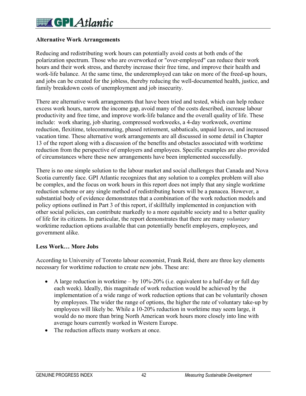### **Alternative Work Arrangements**

Reducing and redistributing work hours can potentially avoid costs at both ends of the polarization spectrum. Those who are overworked or "over-employed" can reduce their work hours and their work stress, and thereby increase their free time, and improve their health and work-life balance. At the same time, the underemployed can take on more of the freed-up hours, and jobs can be created for the jobless, thereby reducing the well-documented health, justice, and family breakdown costs of unemployment and job insecurity.

There are alternative work arrangements that have been tried and tested, which can help reduce excess work hours, narrow the income gap, avoid many of the costs described, increase labour productivity and free time, and improve work-life balance and the overall quality of life. These include: work sharing, job sharing, compressed workweeks, a 4-day workweek, overtime reduction, flexitime, telecommuting, phased retirement, sabbaticals, unpaid leaves, and increased vacation time. These alternative work arrangements are all discussed in some detail in Chapter 13 of the report along with a discussion of the benefits and obstacles associated with worktime reduction from the perspective of employers and employees. Specific examples are also provided of circumstances where these new arrangements have been implemented successfully.

There is no one simple solution to the labour market and social challenges that Canada and Nova Scotia currently face. GPI Atlantic recognizes that any solution to a complex problem will also be complex, and the focus on work hours in this report does not imply that any single worktime reduction scheme or any single method of redistributing hours will be a panacea. However, a substantial body of evidence demonstrates that a combination of the work reduction models and policy options outlined in Part 3 of this report, if skillfully implemented in conjunction with other social policies, can contribute markedly to a more equitable society and to a better quality of life for its citizens. In particular, the report demonstrates that there are many *voluntary* worktime reduction options available that can potentially benefit employers, employees, and government alike.

#### **Less Work… More Jobs**

According to University of Toronto labour economist, Frank Reid, there are three key elements necessary for worktime reduction to create new jobs. These are:

- A large reduction in worktime by  $10\% 20\%$  (i.e. equivalent to a half-day or full day each week). Ideally, this magnitude of work reduction would be achieved by the implementation of a wide range of work reduction options that can be voluntarily chosen by employees. The wider the range of options, the higher the rate of voluntary take-up by employees will likely be. While a 10-20% reduction in worktime may seem large, it would do no more than bring North American work hours more closely into line with average hours currently worked in Western Europe.
- The reduction affects many workers at once.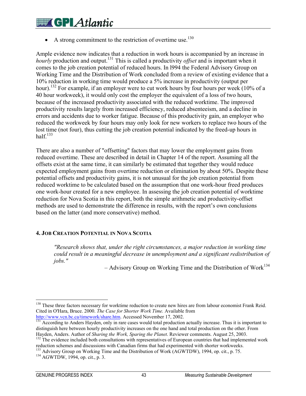A strong commitment to the restriction of overtime use.<sup>130</sup>

Ample evidence now indicates that a reduction in work hours is accompanied by an increase in *hourly* production and output.<sup>131</sup> This is called a productivity *offset* and is important when it comes to the job creation potential of reduced hours. In l994 the Federal Advisory Group on Working Time and the Distribution of Work concluded from a review of existing evidence that a 10% reduction in working time would produce a 5% increase in productivity (output per hour).<sup>132</sup> For example, if an employer were to cut work hours by four hours per week (10% of a 40 hour workweek), it would only cost the employer the equivalent of a loss of two hours, because of the increased productivity associated with the reduced worktime. The improved productivity results largely from increased efficiency, reduced absenteeism, and a decline in errors and accidents due to worker fatigue. Because of this productivity gain, an employer who reduced the workweek by four hours may only look for new workers to replace two hours of the lost time (not four), thus cutting the job creation potential indicated by the freed-up hours in half $133$ 

There are also a number of "offsetting" factors that may lower the employment gains from reduced overtime. These are described in detail in Chapter 14 of the report. Assuming all the offsets exist at the same time, it can similarly be estimated that together they would reduce expected employment gains from overtime reduction or elimination by about 50%. Despite these potential offsets and productivity gains, it is not unusual for the job creation potential from reduced worktime to be calculated based on the assumption that one work-hour freed produces one work-hour created for a new employee. In assessing the job creation potential of worktime reduction for Nova Scotia in this report, both the simple arithmetic and productivity-offset methods are used to demonstrate the difference in results, with the report's own conclusions based on the latter (and more conservative) method.

#### **4. JOB CREATION POTENTIAL IN NOVA SCOTIA**

*"Research shows that, under the right circumstances, a major reduction in working time could result in a meaningful decrease in unemployment and a significant redistribution of jobs."*

– Advisory Group on Working Time and the Distribution of Work $134$ 

<sup>&</sup>lt;sup>130</sup> These three factors necessary for worktime reduction to create new hires are from labour economist Frank Reid. Cited in O'Hara, Bruce. 2000. *The Case for Shorter Work Time.* Available from

http://www.vcn.bc.ca/timework/share.html accession 17, 2002. 1999. In the United November 17, 2002. Thus it is important to 17, 2002. Thus it is important to distinguish here between hourly productivity increases on the one hand and total production on the other. From Hayden, Anders. Author of *Sharing the Work, Sparing the Planet*. Reviewer comments. August 25, 2003.

<sup>&</sup>lt;sup>132</sup> The evidence included both consultations with representatives of European countries that had implemented work reduction schemes and discussions with Canadian firms that had experimented with shorter workweeks.

 $^{133}$  Advisory Group on Working Time and the Distribution of Work (AGWTDW), 1994, op. cit., p. 75.  $^{134}$  AGWTDW, 1994, op. cit., p. 3.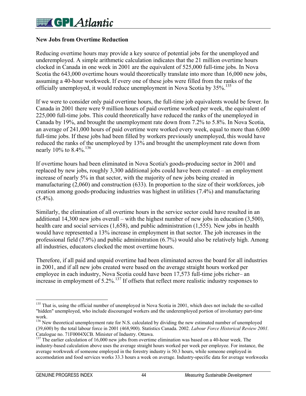### **New Jobs from Overtime Reduction**

Reducing overtime hours may provide a key source of potential jobs for the unemployed and underemployed. A simple arithmetic calculation indicates that the 21 million overtime hours clocked in Canada in one week in 2001 are the equivalent of 525,000 full-time jobs. In Nova Scotia the 643,000 overtime hours would theoretically translate into more than 16,000 new jobs, assuming a 40-hour workweek.If every one of these jobs were filled from the ranks of the officially unemployed, it would reduce unemployment in Nova Scotia by 35%.<sup>135</sup>

If we were to consider only paid overtime hours, the full-time job equivalents would be fewer. In Canada in 2001 there were 9 million hours of paid overtime worked per week, the equivalent of 225,000 full-time jobs. This could theoretically have reduced the ranks of the unemployed in Canada by 19%, and brought the unemployment rate down from 7.2% to 5.8%. In Nova Scotia, an average of 241,000 hours of paid overtime were worked every week, equal to more than 6,000 full-time jobs. If these jobs had been filled by workers previously unemployed, this would have reduced the ranks of the unemployed by 13% and brought the unemployment rate down from nearly 10% to 8.4%.<sup>136</sup>

If overtime hours had been eliminated in Nova Scotia's goods-producing sector in 2001 and replaced by new jobs, roughly 3,300 additional jobs could have been created – an employment increase of nearly 5% in that sector, with the majority of new jobs being created in manufacturing (2,060) and construction (633). In proportion to the size of their workforces, job creation among goods-producing industries was highest in utilities (7.4%) and manufacturing  $(5.4\%)$ .

Similarly, the elimination of all overtime hours in the service sector could have resulted in an additional 14,300 new jobs overall – with the highest number of new jobs in education (3,500), health care and social services (1,658), and public administration (1,555). New jobs in health would have represented a 13% increase in employment in that sector. The job increases in the professional field (7.9%) and public administration (6.7%) would also be relatively high. Among all industries, educators clocked the most overtime hours.

Therefore, if all paid and unpaid overtime had been eliminated across the board for all industries in 2001, and if all new jobs created were based on the average straight hours worked per employee in each industry, Nova Scotia could have been 17,573 full-time jobs richer– an increase in employment of 5.2%.<sup>137</sup> If offsets that reflect more realistic industry responses to

 $\overline{a}$  $135$  That is, using the official number of unemployed in Nova Scotia in 2001, which does not include the so-called "hidden" unemployed, who include discouraged workers and the underemployed portion of involuntary part-time work.

<sup>&</sup>lt;sup>136</sup> New theoretical unemployment rate for N.S. calculated by dividing the new estimated number of unemployed (39,600) by the total labour force in 2001 (468,900). Statistics Canada. 2002. *Labour Force Historical Review 2001.* Catalogue no. 71F0004XCB. Minister of Industry. Ottawa. 137 The earlier calculation of 16,000 new jobs from overtime elimination was based on a 40-hour week. The

industry-based calculation above uses the average straight hours worked per week per employee. For instance, the average workweek of someone employed in the forestry industry is 50.3 hours, while someone employed in accomodation and food services works 33.3 hours a week on average. Industry-specific data for average workweeks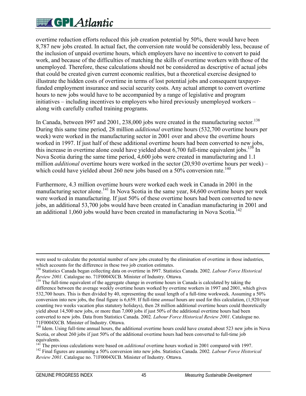# **EV GP Atlantic**

overtime reduction efforts reduced this job creation potential by 50%, there would have been 8,787 new jobs created. In actual fact, the conversion rate would be considerably less, because of the inclusion of unpaid overtime hours, which employers have no incentive to convert to paid work, and because of the difficulties of matching the skills of overtime workers with those of the unemployed. Therefore, these calculations should not be considered as descriptive of actual jobs that could be created given current economic realities, but a theoretical exercise designed to illustrate the hidden costs of overtime in terms of lost potential jobs and consequent taxpayerfunded employment insurance and social security costs. Any actual attempt to convert overtime hours to new jobs would have to be accompanied by a range of legislative and program initiatives – including incentives to employers who hired previously unemployed workers – along with carefully crafted training programs.

In Canada, between 1997 and 2001, 238,000 jobs were created in the manufacturing sector.<sup>138</sup> During this same time period, 28 million *additional* overtime hours (532,700 overtime hours per week) were worked in the manufacturing sector in 2001 over and above the overtime hours worked in 1997. If just half of these additional overtime hours had been converted to new jobs, this increase in overtime alone could have yielded about  $6,700$  full-time equivalent jobs.<sup>139</sup> In Nova Scotia during the same time period, 4,600 jobs were created in manufacturing and 1.1 million *additional* overtime hours were worked in the sector (20,930 overtime hours per week) – which could have yielded about 260 new jobs based on a 50% conversion rate.<sup>140</sup>

Furthermore, 4.3 million overtime hours were worked each week in Canada in 2001 in the manufacturing sector alone.<sup>141</sup> In Nova Scotia in the same year,  $84,600$  overtime hours per week were worked in manufacturing. If just 50% of these overtime hours had been converted to new jobs, an additional 53,700 jobs would have been created in Canadian manufacturing in 2001 and an additional 1,060 jobs would have been created in manufacturing in Nova Scotia.<sup>142</sup>

were used to calculate the potential number of new jobs created by the elimination of overtime in those industries,

which accounts for the difference in these two job creation estimates.<br><sup>138</sup> Statistics Canada began collecting data on overtime in 1997. Statistics Canada. 2002. *Labour Force Historical*<br>*Review 2001*. Catalogue no. 71F0

<sup>&</sup>lt;sup>139</sup> The full-time equivalent of the aggregate change in overtime hours in Canada is calculated by taking the difference between the average weekly overtime hours worked by overtime workers in 1997 and 2001, which gives 532,700 hours. This is then divided by 40, representing the usual length of a full-time workweek. Assuming a 50% conversion into new jobs, the final figure is 6,659. If full-time *annual* hours are used for this calculation, (1,920/year counting two weeks vacation plus statutory holidays), then 28 million additional overtime hours could theoretically yield about 14,500 new jobs, or more than 7,000 jobs if just 50% of the additional overtime hours had been converted to new jobs. Data from Statistics Canada. 2002*. Labour Force Historical Review 2001*. Catalogue no. 71F0004XCB. Minister of Industry. Ottawa.

<sup>&</sup>lt;sup>140</sup> Idem. Using full-time annual hours, the additional overtime hours could have created about 523 new jobs in Nova Scotia, or about 260 jobs if just 50% of the additional overtime hours had been converted to full-time job equivalents.<br><sup>141</sup> The previous calculations were based on *additional* overtime hours worked in 2001 compared with 1997.

<sup>&</sup>lt;sup>142</sup> Final figures are assuming a 50% conversion into new jobs. Statistics Canada. 2002. Labour Force Historical *Review 2001*. Catalogue no. 71F0004XCB. Minister of Industry. Ottawa.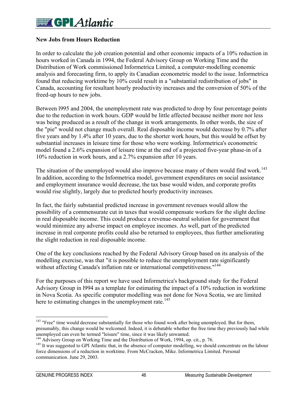### **New Jobs from Hours Reduction**

In order to calculate the job creation potential and other economic impacts of a 10% reduction in hours worked in Canada in 1994, the Federal Advisory Group on Working Time and the Distribution of Work commissioned Informetrica Limited, a computer-modelling economic analysis and forecasting firm, to apply its Canadian econometric model to the issue. Informetrica found that reducing worktime by 10% could result in a "substantial redistribution of jobs" in Canada, accounting for resultant hourly productivity increases and the conversion of 50% of the freed-up hours to new jobs.

Between l995 and 2004, the unemployment rate was predicted to drop by four percentage points due to the reduction in work hours. GDP would be little affected because neither more nor less was being produced as a result of the change in work arrangements. In other words, the size of the "pie" would not change much overall. Real disposable income would decrease by 0.7% after five years and by 1.4% after 10 years, due to the shorter work hours, but this would be offset by substantial increases in leisure time for those who were working. Informetrica's econometric model found a 2.6% expansion of leisure time at the end of a projected five-year phase-in of a 10% reduction in work hours, and a 2.7% expansion after 10 years.

The situation of the unemployed would also improve because many of them would find work.<sup>143</sup> In addition, according to the Informetrica model, government expenditures on social assistance and employment insurance would decrease, the tax base would widen, and corporate profits would rise slightly, largely due to predicted hourly productivity increases.

In fact, the fairly substantial predicted increase in government revenues would allow the possibility of a commensurate cut in taxes that would compensate workers for the slight decline in real disposable income. This could produce a revenue-neutral solution for government that would minimize any adverse impact on employee incomes. As well, part of the predicted increase in real corporate profits could also be returned to employees, thus further ameliorating the slight reduction in real disposable income.

One of the key conclusions reached by the Federal Advisory Group based on its analysis of the modelling exercise, was that "it is possible to reduce the unemployment rate significantly without affecting Canada's inflation rate or international competitiveness."<sup>144</sup>

For the purposes of this report we have used Informetrica's background study for the Federal Advisory Group in l994 as a template for estimating the impact of a 10% reduction in worktime in Nova Scotia. As specific computer modelling was not done for Nova Scotia, we are limited here to estimating changes in the unemployment rate.<sup>145</sup>

<sup>&</sup>lt;sup>143</sup> "Free" time would decrease substantially for those who found work after being unemployed. But for them, presumably, this change would be welcomed. Indeed, it is debatable whether the free time they previously had while unemployed can even be termed "leisure" time, since it was likely unwanted.

<sup>&</sup>lt;sup>144</sup> Advisory Group on Working Time and the Distribution of Work, 1994, op. cit., p. 76.<br><sup>145</sup> It was suggested to GPI Atlantic that, in the absence of computer modelling, we should concentrate on the labour force dimensions of a reduction in worktime. From McCracken, Mike. Informetrica Limited. Personal communication. June 29, 2003.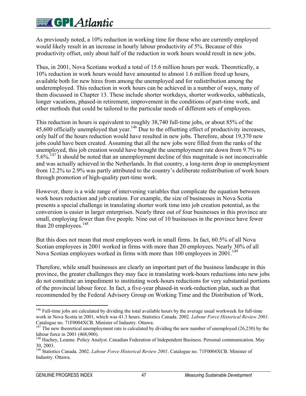As previously noted, a 10% reduction in working time for those who are currently employed would likely result in an increase in hourly labour productivity of 5%. Because of this productivity offset, only about half of the reduction in work hours would result in new jobs.

Thus, in 2001, Nova Scotians worked a total of 15.6 million hours per week. Theoretically, a 10% reduction in work hours would have amounted to almost 1.6 million freed up hours, available both for new hires from among the unemployed and for redistribution among the underemployed. This reduction in work hours can be achieved in a number of ways, many of them discussed in Chapter 13. These include shorter workdays, shorter workweeks, sabbaticals, longer vacations, phased-in retirement, improvement in the conditions of part-time work, and other methods that could be tailored to the particular needs of different sets of employees.

This reduction in hours is equivalent to roughly 38,740 full-time jobs, or about 85% of the 45,600 officially unemployed that year.<sup>146</sup> Due to the offsetting effect of productivity increases, only half of the hours reduction would have resulted in new jobs. Therefore, about 19,370 new jobs could have been created. Assuming that all the new jobs were filled from the ranks of the unemployed, this job creation would have brought the unemployment rate down from 9.7% to 5.6%.147 It should be noted that an unemployment decline of this magnitude is not inconceivable and was actually achieved in the Netherlands. In that country, a long-term drop in unemployment from 12.2% to 2.9% was partly attributed to the country's deliberate redistribution of work hours through promotion of high-quality part-time work.

However, there is a wide range of intervening variables that complicate the equation between work hours reduction and job creation. For example, the size of businesses in Nova Scotia presents a special challenge in translating shorter work time into job creation potential, as the conversion is easier in larger enterprises. Nearly three out of four businesses in this province are small, employing fewer than five people. Nine out of 10 businesses in the province have fewer than 20 employees. $148$ 

But this does not mean that most employees work in small firms. In fact, 60.5% of all Nova Scotian employees in 2001 worked in firms with more than 20 employees. Nearly 30% of all Nova Scotian employees worked in firms with more than 100 employees in  $2001$ <sup>149</sup>

Therefore, while small businesses are clearly an important part of the business landscape in this province, the greater challenges they may face in translating work-hours reductions into new jobs do not constitute an impediment to instituting work-hours reductions for very substantial portions of the provincial labour force. In fact, a five-year phased-in work-reduction plan, such as that recommended by the Federal Advisory Group on Working Time and the Distribution of Work,

 $\overline{a}$ <sup>146</sup> Full-time jobs are calculated by dividing the total available hours by the average usual workweek for full-time work in Nova Scotia in 2001, which was 41.3 hours. Statistics Canada. 2002. *Labour Force Historical Review 2001.* Catalogue no. 71F0004XCB. Minister of Industry. Ottawa.

 $147$  The new theoretical unemployment rate is calculated by dividing the new number of unemployed (26,230) by the labour force in 2001 (468,900).

<sup>&</sup>lt;sup>148</sup> Hachey, Leanne. Policy Analyst. Canadian Federation of Independent Business. Personal communication. May 30, 2003.

<sup>149</sup> Statistics Canada. 2002. *Labour Force Historical Review 2001*. Catalogue no. 71F0004XCB. Minister of Industry. Ottawa.